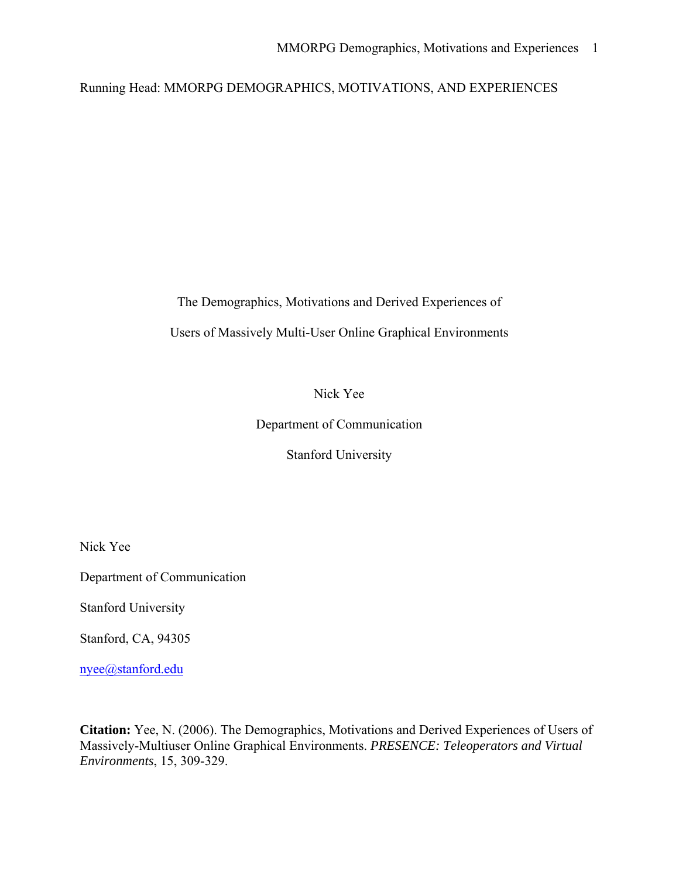# Running Head: MMORPG DEMOGRAPHICS, MOTIVATIONS, AND EXPERIENCES

The Demographics, Motivations and Derived Experiences of

Users of Massively Multi-User Online Graphical Environments

Nick Yee

Department of Communication

Stanford University

Nick Yee

Department of Communication

Stanford University

Stanford, CA, 94305

nyee@stanford.edu

**Citation:** Yee, N. (2006). The Demographics, Motivations and Derived Experiences of Users of Massively-Multiuser Online Graphical Environments. *PRESENCE: Teleoperators and Virtual Environments*, 15, 309-329.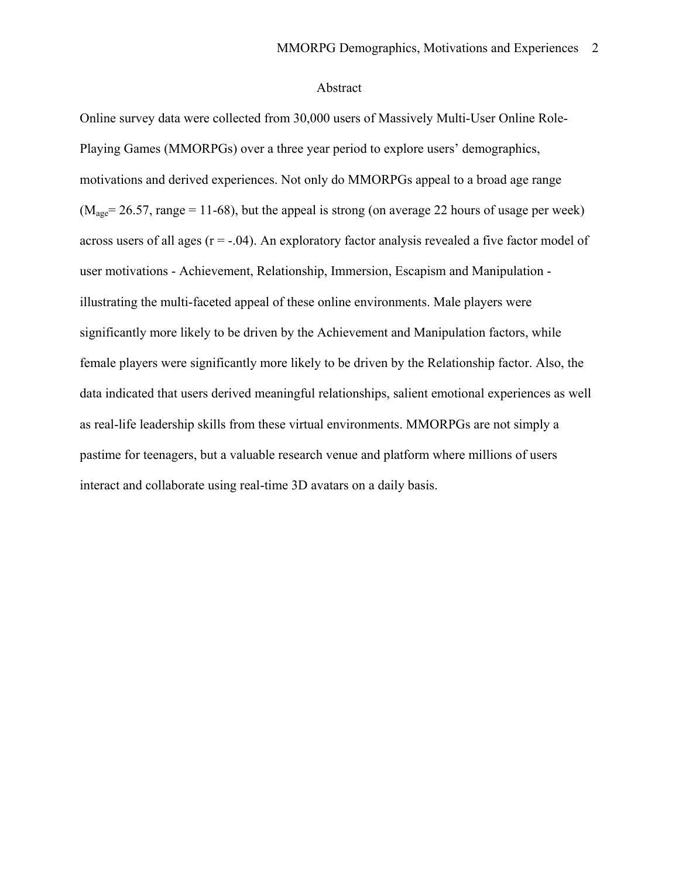### Abstract

Online survey data were collected from 30,000 users of Massively Multi-User Online Role-Playing Games (MMORPGs) over a three year period to explore users' demographics, motivations and derived experiences. Not only do MMORPGs appeal to a broad age range  $(M<sub>age</sub>= 26.57, range = 11-68)$ , but the appeal is strong (on average 22 hours of usage per week) across users of all ages  $(r = -0.04)$ . An exploratory factor analysis revealed a five factor model of user motivations - Achievement, Relationship, Immersion, Escapism and Manipulation illustrating the multi-faceted appeal of these online environments. Male players were significantly more likely to be driven by the Achievement and Manipulation factors, while female players were significantly more likely to be driven by the Relationship factor. Also, the data indicated that users derived meaningful relationships, salient emotional experiences as well as real-life leadership skills from these virtual environments. MMORPGs are not simply a pastime for teenagers, but a valuable research venue and platform where millions of users interact and collaborate using real-time 3D avatars on a daily basis.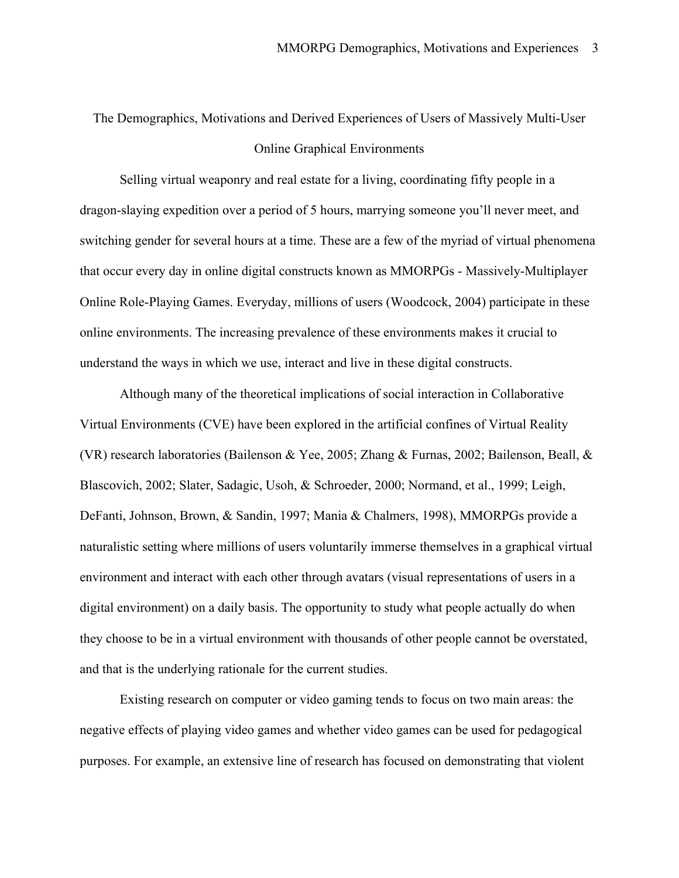# The Demographics, Motivations and Derived Experiences of Users of Massively Multi-User Online Graphical Environments

Selling virtual weaponry and real estate for a living, coordinating fifty people in a dragon-slaying expedition over a period of 5 hours, marrying someone you'll never meet, and switching gender for several hours at a time. These are a few of the myriad of virtual phenomena that occur every day in online digital constructs known as MMORPGs - Massively-Multiplayer Online Role-Playing Games. Everyday, millions of users (Woodcock, 2004) participate in these online environments. The increasing prevalence of these environments makes it crucial to understand the ways in which we use, interact and live in these digital constructs.

Although many of the theoretical implications of social interaction in Collaborative Virtual Environments (CVE) have been explored in the artificial confines of Virtual Reality (VR) research laboratories (Bailenson & Yee, 2005; Zhang & Furnas, 2002; Bailenson, Beall, & Blascovich, 2002; Slater, Sadagic, Usoh, & Schroeder, 2000; Normand, et al., 1999; Leigh, DeFanti, Johnson, Brown, & Sandin, 1997; Mania & Chalmers, 1998), MMORPGs provide a naturalistic setting where millions of users voluntarily immerse themselves in a graphical virtual environment and interact with each other through avatars (visual representations of users in a digital environment) on a daily basis. The opportunity to study what people actually do when they choose to be in a virtual environment with thousands of other people cannot be overstated, and that is the underlying rationale for the current studies.

Existing research on computer or video gaming tends to focus on two main areas: the negative effects of playing video games and whether video games can be used for pedagogical purposes. For example, an extensive line of research has focused on demonstrating that violent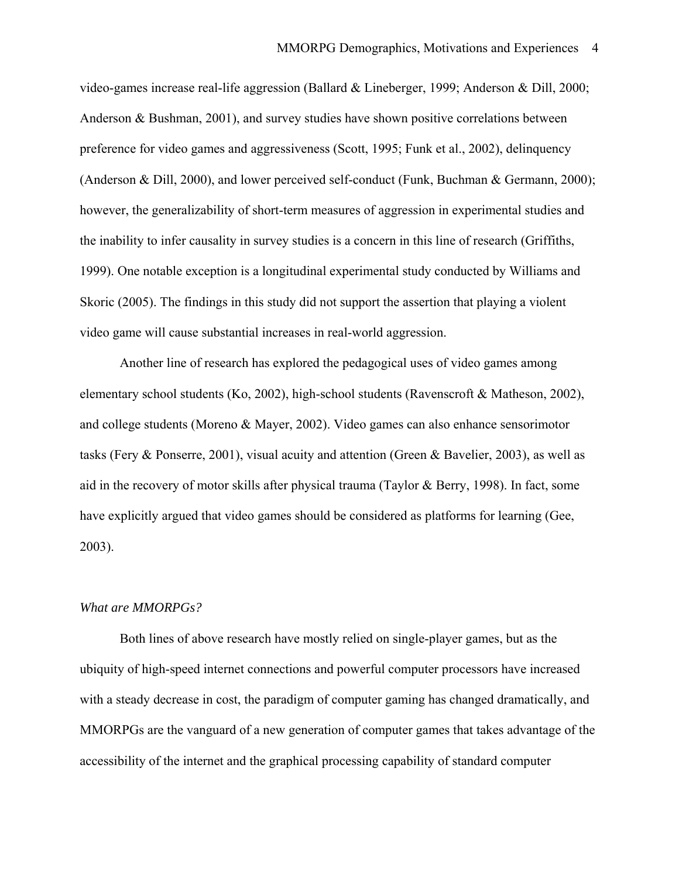video-games increase real-life aggression (Ballard & Lineberger, 1999; Anderson & Dill, 2000; Anderson & Bushman, 2001), and survey studies have shown positive correlations between preference for video games and aggressiveness (Scott, 1995; Funk et al., 2002), delinquency (Anderson & Dill, 2000), and lower perceived self-conduct (Funk, Buchman & Germann, 2000); however, the generalizability of short-term measures of aggression in experimental studies and the inability to infer causality in survey studies is a concern in this line of research (Griffiths, 1999). One notable exception is a longitudinal experimental study conducted by Williams and Skoric (2005). The findings in this study did not support the assertion that playing a violent video game will cause substantial increases in real-world aggression.

Another line of research has explored the pedagogical uses of video games among elementary school students (Ko, 2002), high-school students (Ravenscroft & Matheson, 2002), and college students (Moreno & Mayer, 2002). Video games can also enhance sensorimotor tasks (Fery & Ponserre, 2001), visual acuity and attention (Green & Bavelier, 2003), as well as aid in the recovery of motor skills after physical trauma (Taylor & Berry, 1998). In fact, some have explicitly argued that video games should be considered as platforms for learning (Gee, 2003).

#### *What are MMORPGs?*

Both lines of above research have mostly relied on single-player games, but as the ubiquity of high-speed internet connections and powerful computer processors have increased with a steady decrease in cost, the paradigm of computer gaming has changed dramatically, and MMORPGs are the vanguard of a new generation of computer games that takes advantage of the accessibility of the internet and the graphical processing capability of standard computer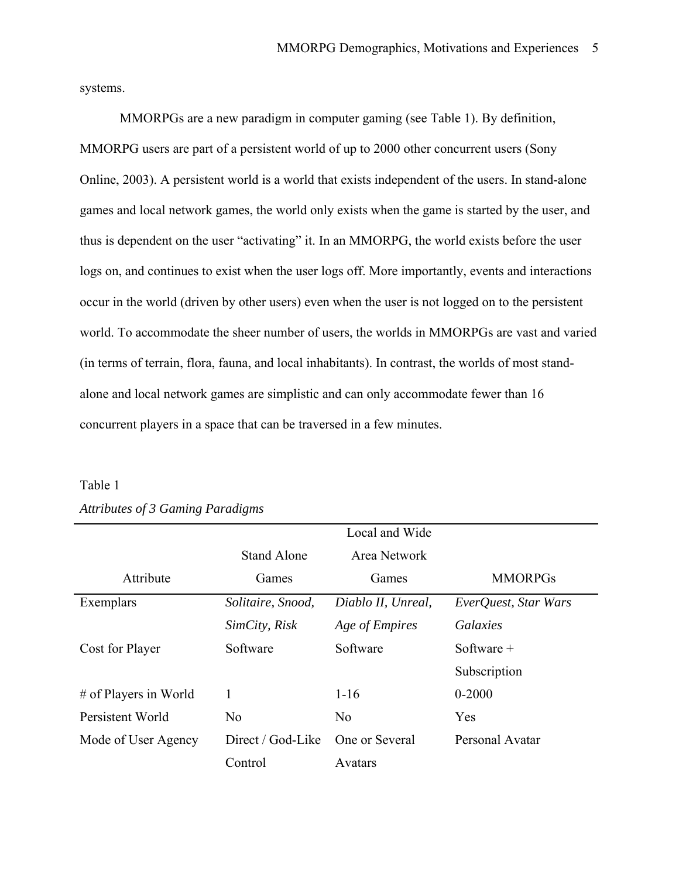systems.

MMORPGs are a new paradigm in computer gaming (see Table 1). By definition, MMORPG users are part of a persistent world of up to 2000 other concurrent users (Sony Online, 2003). A persistent world is a world that exists independent of the users. In stand-alone games and local network games, the world only exists when the game is started by the user, and thus is dependent on the user "activating" it. In an MMORPG, the world exists before the user logs on, and continues to exist when the user logs off. More importantly, events and interactions occur in the world (driven by other users) even when the user is not logged on to the persistent world. To accommodate the sheer number of users, the worlds in MMORPGs are vast and varied (in terms of terrain, flora, fauna, and local inhabitants). In contrast, the worlds of most standalone and local network games are simplistic and can only accommodate fewer than 16 concurrent players in a space that can be traversed in a few minutes.

|                       |                   | Local and Wide     |                      |
|-----------------------|-------------------|--------------------|----------------------|
|                       | Stand Alone       | Area Network       |                      |
| Attribute             | Games             | Games              | <b>MMORPGs</b>       |
| Exemplars             | Solitaire, Snood, | Diablo II, Unreal, | EverQuest, Star Wars |
|                       | SimCity, Risk     | Age of Empires     | Galaxies             |
| Cost for Player       | Software          | Software           | Software $+$         |
|                       |                   |                    | Subscription         |
| # of Players in World | 1                 | $1 - 16$           | $0 - 2000$           |
| Persistent World      | No                | N <sub>0</sub>     | Yes                  |
| Mode of User Agency   | Direct / God-Like | One or Several     | Personal Avatar      |
|                       | Control           | Avatars            |                      |

# Table 1 *Attributes of 3 Gaming Paradigms*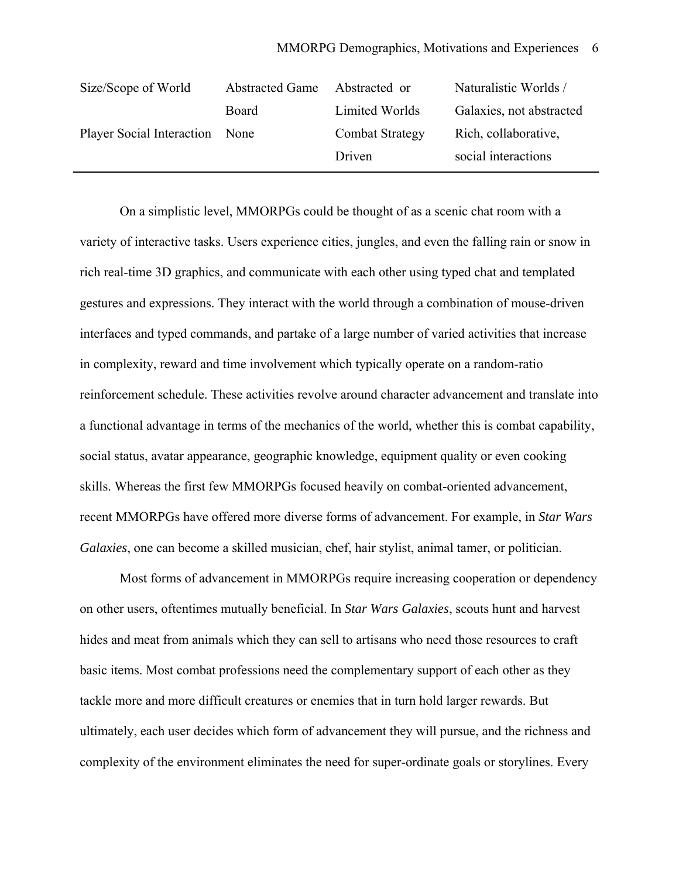| Size/Scope of World            | <b>Abstracted Game</b> | Abstracted or          | Naturalistic Worlds /    |
|--------------------------------|------------------------|------------------------|--------------------------|
|                                | Board                  | Limited Worlds         | Galaxies, not abstracted |
| Player Social Interaction None |                        | <b>Combat Strategy</b> | Rich, collaborative,     |
|                                |                        | Driven                 | social interactions      |

On a simplistic level, MMORPGs could be thought of as a scenic chat room with a variety of interactive tasks. Users experience cities, jungles, and even the falling rain or snow in rich real-time 3D graphics, and communicate with each other using typed chat and templated gestures and expressions. They interact with the world through a combination of mouse-driven interfaces and typed commands, and partake of a large number of varied activities that increase in complexity, reward and time involvement which typically operate on a random-ratio reinforcement schedule. These activities revolve around character advancement and translate into a functional advantage in terms of the mechanics of the world, whether this is combat capability, social status, avatar appearance, geographic knowledge, equipment quality or even cooking skills. Whereas the first few MMORPGs focused heavily on combat-oriented advancement, recent MMORPGs have offered more diverse forms of advancement. For example, in *Star Wars Galaxies*, one can become a skilled musician, chef, hair stylist, animal tamer, or politician.

Most forms of advancement in MMORPGs require increasing cooperation or dependency on other users, oftentimes mutually beneficial. In *Star Wars Galaxies*, scouts hunt and harvest hides and meat from animals which they can sell to artisans who need those resources to craft basic items. Most combat professions need the complementary support of each other as they tackle more and more difficult creatures or enemies that in turn hold larger rewards. But ultimately, each user decides which form of advancement they will pursue, and the richness and complexity of the environment eliminates the need for super-ordinate goals or storylines. Every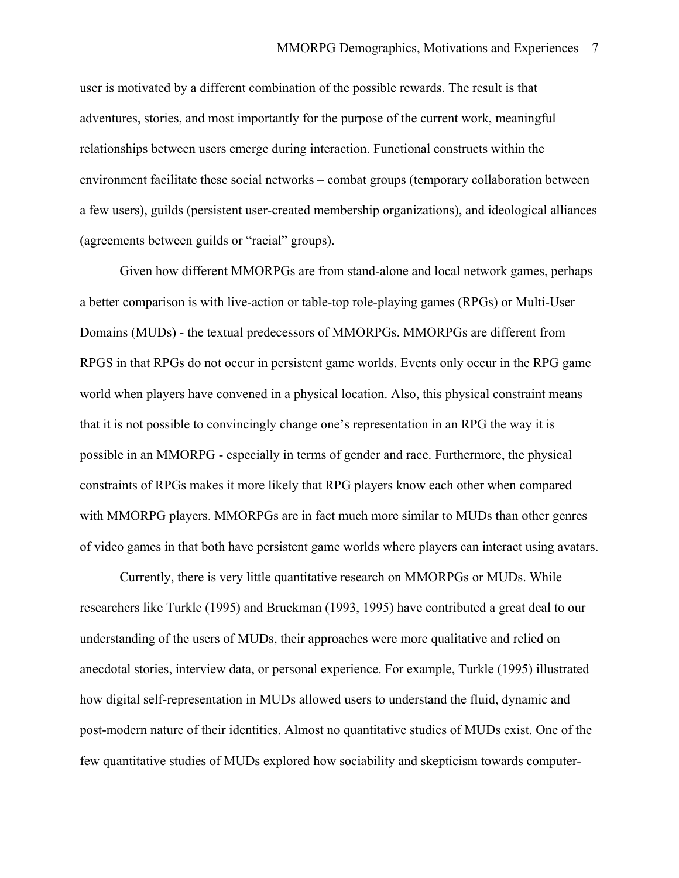user is motivated by a different combination of the possible rewards. The result is that adventures, stories, and most importantly for the purpose of the current work, meaningful relationships between users emerge during interaction. Functional constructs within the environment facilitate these social networks – combat groups (temporary collaboration between a few users), guilds (persistent user-created membership organizations), and ideological alliances (agreements between guilds or "racial" groups).

Given how different MMORPGs are from stand-alone and local network games, perhaps a better comparison is with live-action or table-top role-playing games (RPGs) or Multi-User Domains (MUDs) - the textual predecessors of MMORPGs. MMORPGs are different from RPGS in that RPGs do not occur in persistent game worlds. Events only occur in the RPG game world when players have convened in a physical location. Also, this physical constraint means that it is not possible to convincingly change one's representation in an RPG the way it is possible in an MMORPG - especially in terms of gender and race. Furthermore, the physical constraints of RPGs makes it more likely that RPG players know each other when compared with MMORPG players. MMORPGs are in fact much more similar to MUDs than other genres of video games in that both have persistent game worlds where players can interact using avatars.

Currently, there is very little quantitative research on MMORPGs or MUDs. While researchers like Turkle (1995) and Bruckman (1993, 1995) have contributed a great deal to our understanding of the users of MUDs, their approaches were more qualitative and relied on anecdotal stories, interview data, or personal experience. For example, Turkle (1995) illustrated how digital self-representation in MUDs allowed users to understand the fluid, dynamic and post-modern nature of their identities. Almost no quantitative studies of MUDs exist. One of the few quantitative studies of MUDs explored how sociability and skepticism towards computer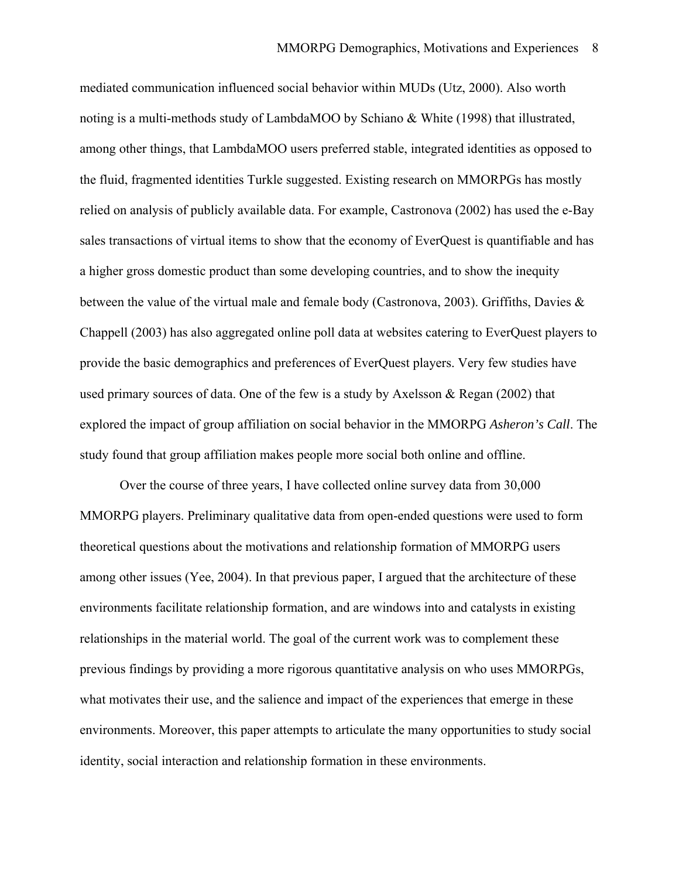mediated communication influenced social behavior within MUDs (Utz, 2000). Also worth noting is a multi-methods study of LambdaMOO by Schiano & White (1998) that illustrated, among other things, that LambdaMOO users preferred stable, integrated identities as opposed to the fluid, fragmented identities Turkle suggested. Existing research on MMORPGs has mostly relied on analysis of publicly available data. For example, Castronova (2002) has used the e-Bay sales transactions of virtual items to show that the economy of EverQuest is quantifiable and has a higher gross domestic product than some developing countries, and to show the inequity between the value of the virtual male and female body (Castronova, 2003). Griffiths, Davies & Chappell (2003) has also aggregated online poll data at websites catering to EverQuest players to provide the basic demographics and preferences of EverQuest players. Very few studies have used primary sources of data. One of the few is a study by Axelsson & Regan (2002) that explored the impact of group affiliation on social behavior in the MMORPG *Asheron's Call*. The study found that group affiliation makes people more social both online and offline.

Over the course of three years, I have collected online survey data from 30,000 MMORPG players. Preliminary qualitative data from open-ended questions were used to form theoretical questions about the motivations and relationship formation of MMORPG users among other issues (Yee, 2004). In that previous paper, I argued that the architecture of these environments facilitate relationship formation, and are windows into and catalysts in existing relationships in the material world. The goal of the current work was to complement these previous findings by providing a more rigorous quantitative analysis on who uses MMORPGs, what motivates their use, and the salience and impact of the experiences that emerge in these environments. Moreover, this paper attempts to articulate the many opportunities to study social identity, social interaction and relationship formation in these environments.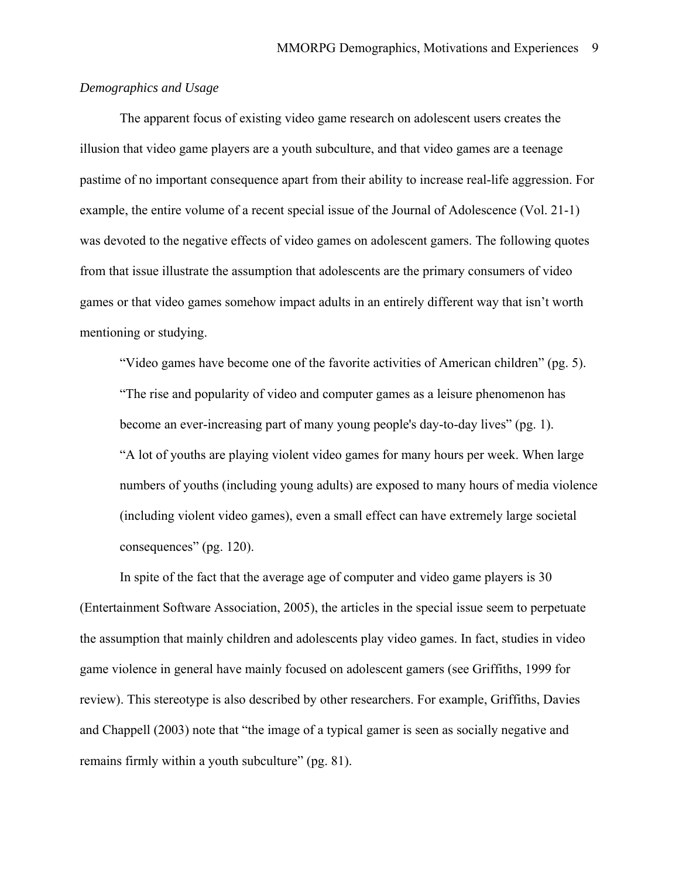# *Demographics and Usage*

The apparent focus of existing video game research on adolescent users creates the illusion that video game players are a youth subculture, and that video games are a teenage pastime of no important consequence apart from their ability to increase real-life aggression. For example, the entire volume of a recent special issue of the Journal of Adolescence (Vol. 21-1) was devoted to the negative effects of video games on adolescent gamers. The following quotes from that issue illustrate the assumption that adolescents are the primary consumers of video games or that video games somehow impact adults in an entirely different way that isn't worth mentioning or studying.

"Video games have become one of the favorite activities of American children" (pg. 5). "The rise and popularity of video and computer games as a leisure phenomenon has become an ever-increasing part of many young people's day-to-day lives" (pg. 1). "A lot of youths are playing violent video games for many hours per week. When large numbers of youths (including young adults) are exposed to many hours of media violence (including violent video games), even a small effect can have extremely large societal consequences" (pg. 120).

In spite of the fact that the average age of computer and video game players is 30 (Entertainment Software Association, 2005), the articles in the special issue seem to perpetuate the assumption that mainly children and adolescents play video games. In fact, studies in video game violence in general have mainly focused on adolescent gamers (see Griffiths, 1999 for review). This stereotype is also described by other researchers. For example, Griffiths, Davies and Chappell (2003) note that "the image of a typical gamer is seen as socially negative and remains firmly within a youth subculture" (pg. 81).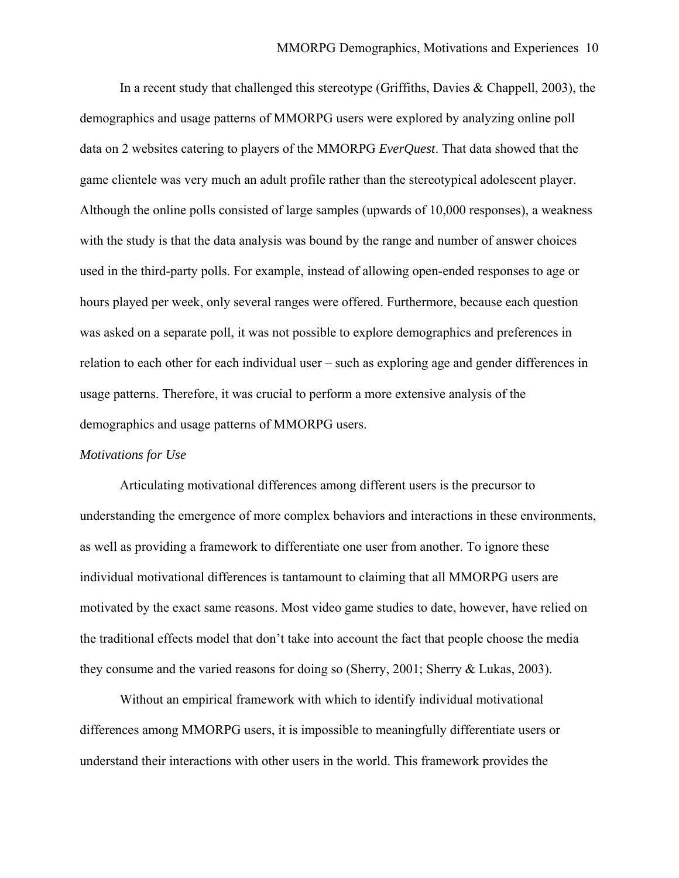In a recent study that challenged this stereotype (Griffiths, Davies & Chappell, 2003), the demographics and usage patterns of MMORPG users were explored by analyzing online poll data on 2 websites catering to players of the MMORPG *EverQuest*. That data showed that the game clientele was very much an adult profile rather than the stereotypical adolescent player. Although the online polls consisted of large samples (upwards of 10,000 responses), a weakness with the study is that the data analysis was bound by the range and number of answer choices used in the third-party polls. For example, instead of allowing open-ended responses to age or hours played per week, only several ranges were offered. Furthermore, because each question was asked on a separate poll, it was not possible to explore demographics and preferences in relation to each other for each individual user – such as exploring age and gender differences in usage patterns. Therefore, it was crucial to perform a more extensive analysis of the demographics and usage patterns of MMORPG users.

#### *Motivations for Use*

Articulating motivational differences among different users is the precursor to understanding the emergence of more complex behaviors and interactions in these environments, as well as providing a framework to differentiate one user from another. To ignore these individual motivational differences is tantamount to claiming that all MMORPG users are motivated by the exact same reasons. Most video game studies to date, however, have relied on the traditional effects model that don't take into account the fact that people choose the media they consume and the varied reasons for doing so (Sherry, 2001; Sherry & Lukas, 2003).

Without an empirical framework with which to identify individual motivational differences among MMORPG users, it is impossible to meaningfully differentiate users or understand their interactions with other users in the world. This framework provides the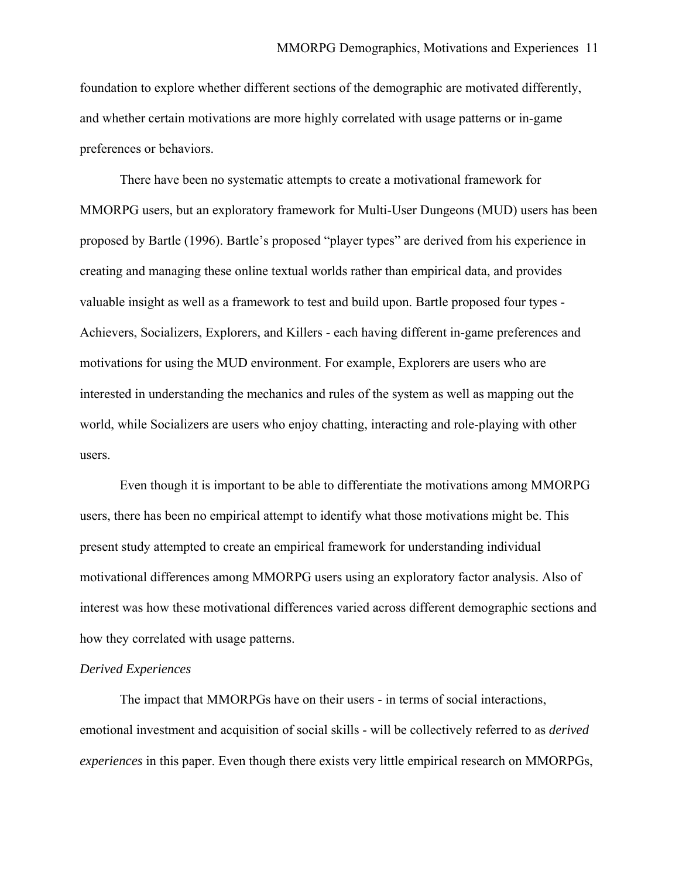foundation to explore whether different sections of the demographic are motivated differently, and whether certain motivations are more highly correlated with usage patterns or in-game preferences or behaviors.

There have been no systematic attempts to create a motivational framework for MMORPG users, but an exploratory framework for Multi-User Dungeons (MUD) users has been proposed by Bartle (1996). Bartle's proposed "player types" are derived from his experience in creating and managing these online textual worlds rather than empirical data, and provides valuable insight as well as a framework to test and build upon. Bartle proposed four types - Achievers, Socializers, Explorers, and Killers - each having different in-game preferences and motivations for using the MUD environment. For example, Explorers are users who are interested in understanding the mechanics and rules of the system as well as mapping out the world, while Socializers are users who enjoy chatting, interacting and role-playing with other users.

Even though it is important to be able to differentiate the motivations among MMORPG users, there has been no empirical attempt to identify what those motivations might be. This present study attempted to create an empirical framework for understanding individual motivational differences among MMORPG users using an exploratory factor analysis. Also of interest was how these motivational differences varied across different demographic sections and how they correlated with usage patterns.

# *Derived Experiences*

The impact that MMORPGs have on their users - in terms of social interactions, emotional investment and acquisition of social skills - will be collectively referred to as *derived experiences* in this paper. Even though there exists very little empirical research on MMORPGs,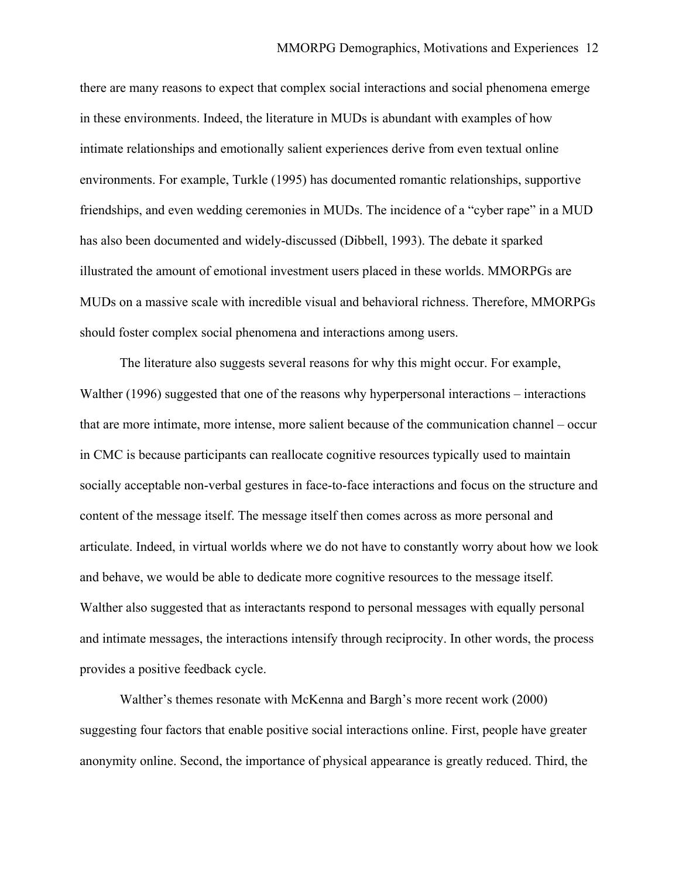there are many reasons to expect that complex social interactions and social phenomena emerge in these environments. Indeed, the literature in MUDs is abundant with examples of how intimate relationships and emotionally salient experiences derive from even textual online environments. For example, Turkle (1995) has documented romantic relationships, supportive friendships, and even wedding ceremonies in MUDs. The incidence of a "cyber rape" in a MUD has also been documented and widely-discussed (Dibbell, 1993). The debate it sparked illustrated the amount of emotional investment users placed in these worlds. MMORPGs are MUDs on a massive scale with incredible visual and behavioral richness. Therefore, MMORPGs should foster complex social phenomena and interactions among users.

The literature also suggests several reasons for why this might occur. For example, Walther (1996) suggested that one of the reasons why hyperpersonal interactions – interactions that are more intimate, more intense, more salient because of the communication channel – occur in CMC is because participants can reallocate cognitive resources typically used to maintain socially acceptable non-verbal gestures in face-to-face interactions and focus on the structure and content of the message itself. The message itself then comes across as more personal and articulate. Indeed, in virtual worlds where we do not have to constantly worry about how we look and behave, we would be able to dedicate more cognitive resources to the message itself. Walther also suggested that as interactants respond to personal messages with equally personal and intimate messages, the interactions intensify through reciprocity. In other words, the process provides a positive feedback cycle.

Walther's themes resonate with McKenna and Bargh's more recent work (2000) suggesting four factors that enable positive social interactions online. First, people have greater anonymity online. Second, the importance of physical appearance is greatly reduced. Third, the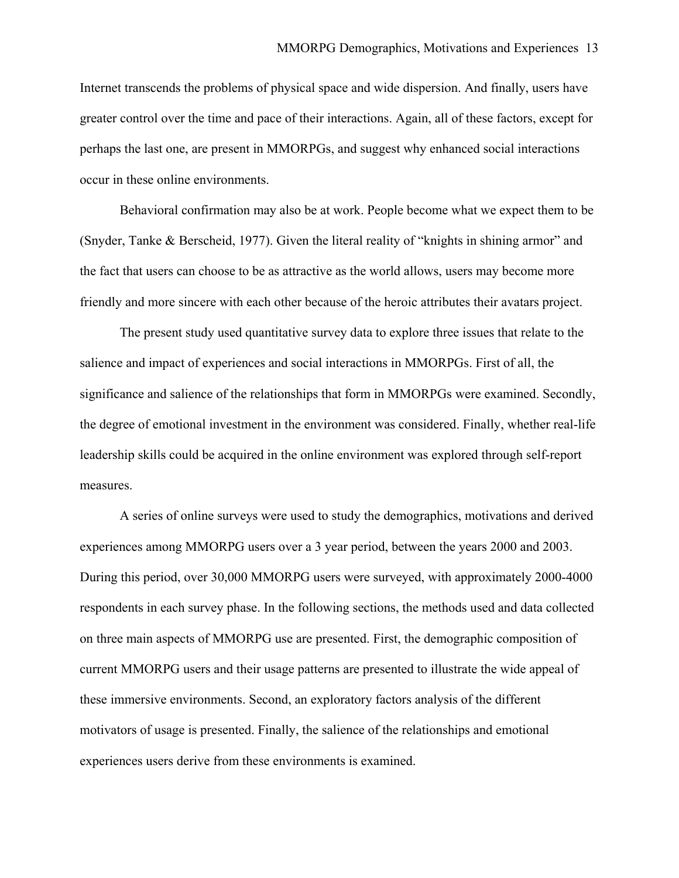Internet transcends the problems of physical space and wide dispersion. And finally, users have greater control over the time and pace of their interactions. Again, all of these factors, except for perhaps the last one, are present in MMORPGs, and suggest why enhanced social interactions occur in these online environments.

Behavioral confirmation may also be at work. People become what we expect them to be (Snyder, Tanke & Berscheid, 1977). Given the literal reality of "knights in shining armor" and the fact that users can choose to be as attractive as the world allows, users may become more friendly and more sincere with each other because of the heroic attributes their avatars project.

The present study used quantitative survey data to explore three issues that relate to the salience and impact of experiences and social interactions in MMORPGs. First of all, the significance and salience of the relationships that form in MMORPGs were examined. Secondly, the degree of emotional investment in the environment was considered. Finally, whether real-life leadership skills could be acquired in the online environment was explored through self-report measures.

A series of online surveys were used to study the demographics, motivations and derived experiences among MMORPG users over a 3 year period, between the years 2000 and 2003. During this period, over 30,000 MMORPG users were surveyed, with approximately 2000-4000 respondents in each survey phase. In the following sections, the methods used and data collected on three main aspects of MMORPG use are presented. First, the demographic composition of current MMORPG users and their usage patterns are presented to illustrate the wide appeal of these immersive environments. Second, an exploratory factors analysis of the different motivators of usage is presented. Finally, the salience of the relationships and emotional experiences users derive from these environments is examined.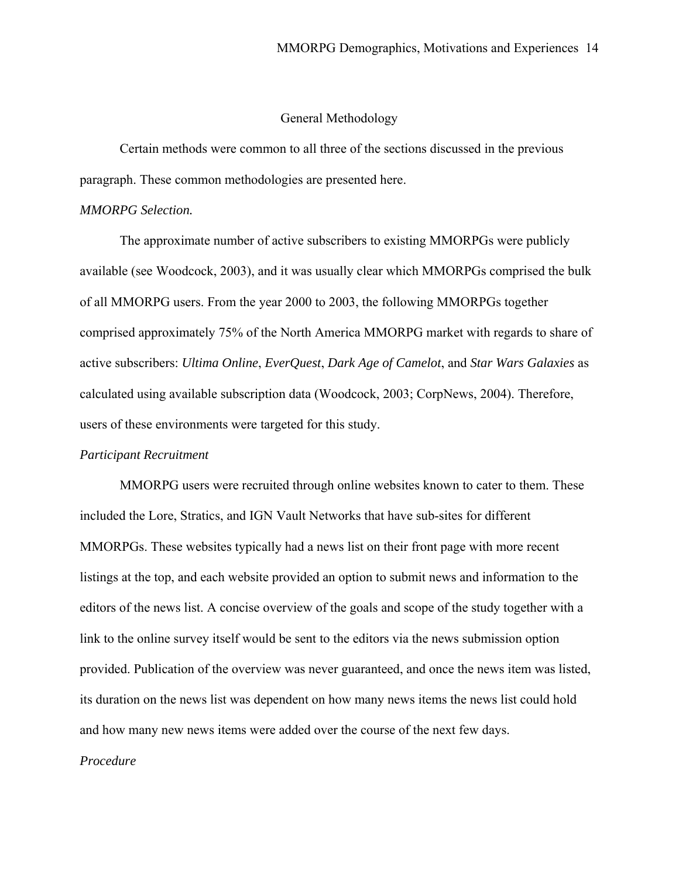# General Methodology

Certain methods were common to all three of the sections discussed in the previous paragraph. These common methodologies are presented here.

# *MMORPG Selection.*

The approximate number of active subscribers to existing MMORPGs were publicly available (see Woodcock, 2003), and it was usually clear which MMORPGs comprised the bulk of all MMORPG users. From the year 2000 to 2003, the following MMORPGs together comprised approximately 75% of the North America MMORPG market with regards to share of active subscribers: *Ultima Online*, *EverQuest*, *Dark Age of Camelot*, and *Star Wars Galaxies* as calculated using available subscription data (Woodcock, 2003; CorpNews, 2004). Therefore, users of these environments were targeted for this study.

#### *Participant Recruitment*

MMORPG users were recruited through online websites known to cater to them. These included the Lore, Stratics, and IGN Vault Networks that have sub-sites for different MMORPGs. These websites typically had a news list on their front page with more recent listings at the top, and each website provided an option to submit news and information to the editors of the news list. A concise overview of the goals and scope of the study together with a link to the online survey itself would be sent to the editors via the news submission option provided. Publication of the overview was never guaranteed, and once the news item was listed, its duration on the news list was dependent on how many news items the news list could hold and how many new news items were added over the course of the next few days.

#### *Procedure*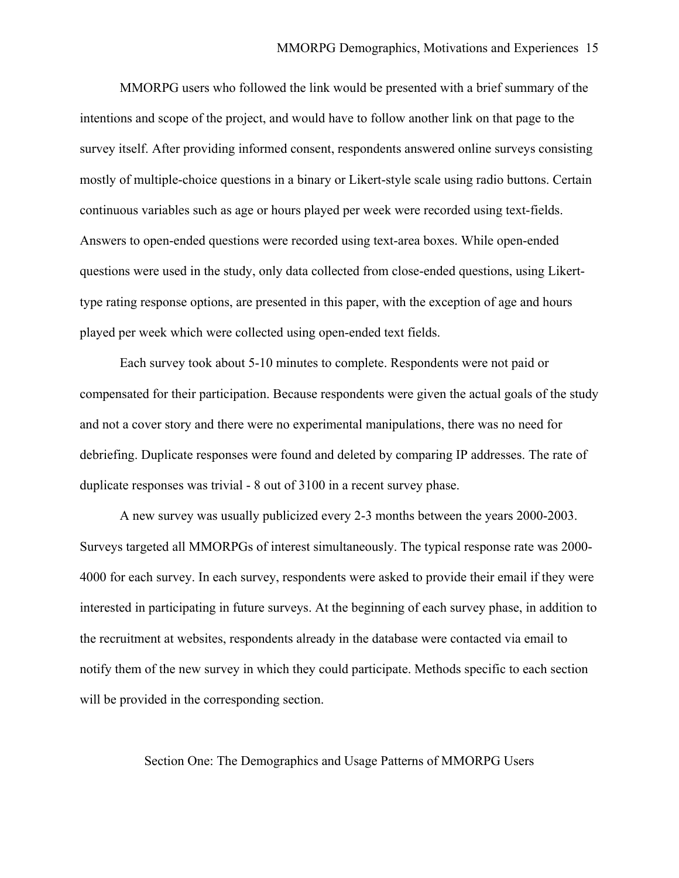MMORPG users who followed the link would be presented with a brief summary of the intentions and scope of the project, and would have to follow another link on that page to the survey itself. After providing informed consent, respondents answered online surveys consisting mostly of multiple-choice questions in a binary or Likert-style scale using radio buttons. Certain continuous variables such as age or hours played per week were recorded using text-fields. Answers to open-ended questions were recorded using text-area boxes. While open-ended questions were used in the study, only data collected from close-ended questions, using Likerttype rating response options, are presented in this paper, with the exception of age and hours played per week which were collected using open-ended text fields.

Each survey took about 5-10 minutes to complete. Respondents were not paid or compensated for their participation. Because respondents were given the actual goals of the study and not a cover story and there were no experimental manipulations, there was no need for debriefing. Duplicate responses were found and deleted by comparing IP addresses. The rate of duplicate responses was trivial - 8 out of 3100 in a recent survey phase.

A new survey was usually publicized every 2-3 months between the years 2000-2003. Surveys targeted all MMORPGs of interest simultaneously. The typical response rate was 2000- 4000 for each survey. In each survey, respondents were asked to provide their email if they were interested in participating in future surveys. At the beginning of each survey phase, in addition to the recruitment at websites, respondents already in the database were contacted via email to notify them of the new survey in which they could participate. Methods specific to each section will be provided in the corresponding section.

#### Section One: The Demographics and Usage Patterns of MMORPG Users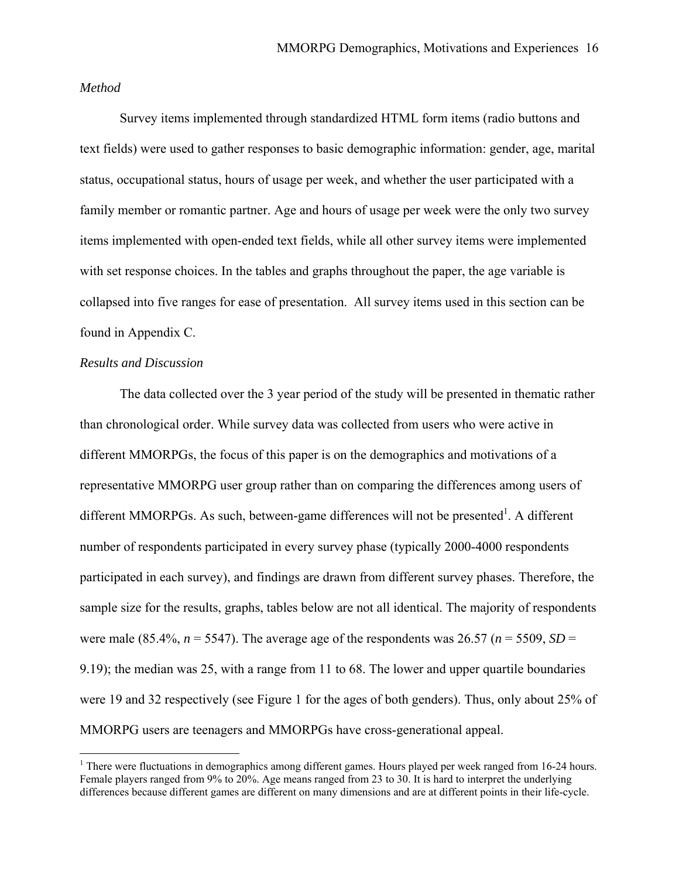#### *Method*

 Survey items implemented through standardized HTML form items (radio buttons and text fields) were used to gather responses to basic demographic information: gender, age, marital status, occupational status, hours of usage per week, and whether the user participated with a family member or romantic partner. Age and hours of usage per week were the only two survey items implemented with open-ended text fields, while all other survey items were implemented with set response choices. In the tables and graphs throughout the paper, the age variable is collapsed into five ranges for ease of presentation. All survey items used in this section can be found in Appendix C.

# *Results and Discussion*

 $\overline{a}$ 

The data collected over the 3 year period of the study will be presented in thematic rather than chronological order. While survey data was collected from users who were active in different MMORPGs, the focus of this paper is on the demographics and motivations of a representative MMORPG user group rather than on comparing the differences among users of different MMORPGs. As such, between-game differences will not be presented<sup>1</sup>. A different number of respondents participated in every survey phase (typically 2000-4000 respondents participated in each survey), and findings are drawn from different survey phases. Therefore, the sample size for the results, graphs, tables below are not all identical. The majority of respondents were male (85.4%,  $n = 5547$ ). The average age of the respondents was 26.57 ( $n = 5509$ ,  $SD =$ 9.19); the median was 25, with a range from 11 to 68. The lower and upper quartile boundaries were 19 and 32 respectively (see Figure 1 for the ages of both genders). Thus, only about 25% of MMORPG users are teenagers and MMORPGs have cross-generational appeal.

<sup>&</sup>lt;sup>1</sup> There were fluctuations in demographics among different games. Hours played per week ranged from 16-24 hours. Female players ranged from 9% to 20%. Age means ranged from 23 to 30. It is hard to interpret the underlying differences because different games are different on many dimensions and are at different points in their life-cycle.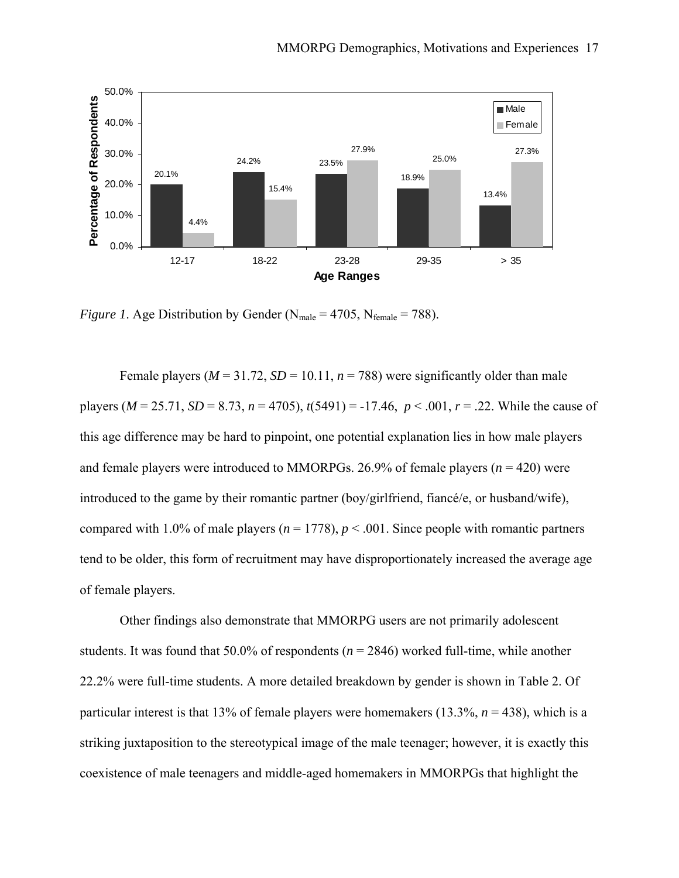

*Figure 1.* Age Distribution by Gender ( $N_{male} = 4705$ ,  $N_{female} = 788$ ).

Female players ( $M = 31.72$ ,  $SD = 10.11$ ,  $n = 788$ ) were significantly older than male players ( $M = 25.71$ ,  $SD = 8.73$ ,  $n = 4705$ ),  $t(5491) = -17.46$ ,  $p < .001$ ,  $r = .22$ . While the cause of this age difference may be hard to pinpoint, one potential explanation lies in how male players and female players were introduced to MMORPGs. 26.9% of female players  $(n = 420)$  were introduced to the game by their romantic partner (boy/girlfriend, fiancé/e, or husband/wife), compared with 1.0% of male players ( $n = 1778$ ),  $p < .001$ . Since people with romantic partners tend to be older, this form of recruitment may have disproportionately increased the average age of female players.

 Other findings also demonstrate that MMORPG users are not primarily adolescent students. It was found that 50.0% of respondents (*n* = 2846) worked full-time, while another 22.2% were full-time students. A more detailed breakdown by gender is shown in Table 2. Of particular interest is that 13% of female players were homemakers  $(13.3\%, n = 438)$ , which is a striking juxtaposition to the stereotypical image of the male teenager; however, it is exactly this coexistence of male teenagers and middle-aged homemakers in MMORPGs that highlight the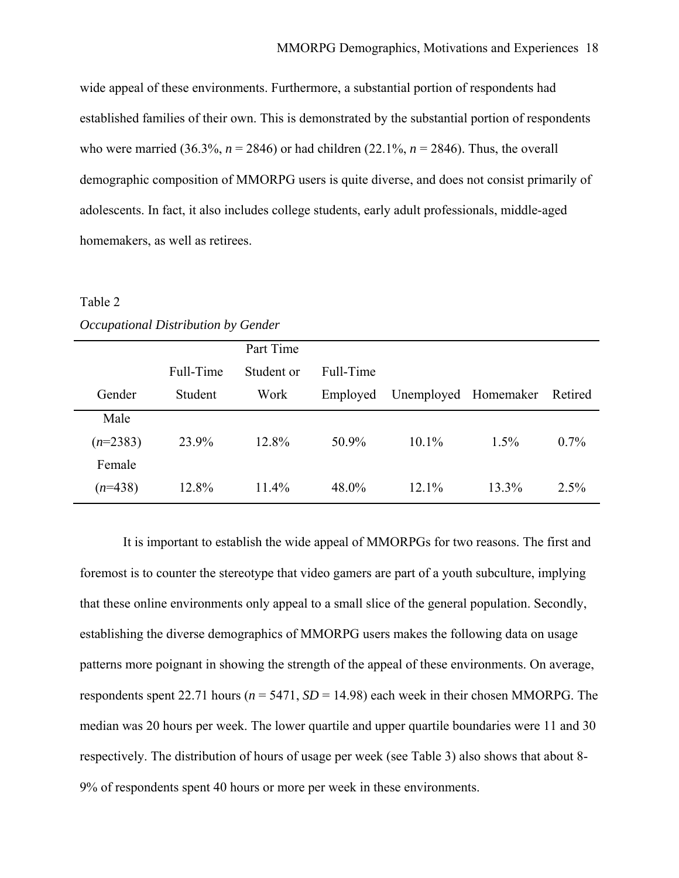wide appeal of these environments. Furthermore, a substantial portion of respondents had established families of their own. This is demonstrated by the substantial portion of respondents who were married (36.3%,  $n = 2846$ ) or had children (22.1%,  $n = 2846$ ). Thus, the overall demographic composition of MMORPG users is quite diverse, and does not consist primarily of adolescents. In fact, it also includes college students, early adult professionals, middle-aged homemakers, as well as retirees.

### Table 2

|           | Part Time  |           |          |         |                      |
|-----------|------------|-----------|----------|---------|----------------------|
| Full-Time | Student or | Full-Time |          |         |                      |
| Student   | Work       | Employed  |          |         | Retired              |
|           |            |           |          |         |                      |
| 23.9%     | 12.8%      | 50.9%     | $10.1\%$ | $1.5\%$ | $0.7\%$              |
|           |            |           |          |         |                      |
| 12.8%     | 11.4%      | 48.0%     | 12.1%    | 13.3%   | 2.5%                 |
|           |            |           |          |         | Unemployed Homemaker |

*Occupational Distribution by Gender* 

 It is important to establish the wide appeal of MMORPGs for two reasons. The first and foremost is to counter the stereotype that video gamers are part of a youth subculture, implying that these online environments only appeal to a small slice of the general population. Secondly, establishing the diverse demographics of MMORPG users makes the following data on usage patterns more poignant in showing the strength of the appeal of these environments. On average, respondents spent 22.71 hours ( $n = 5471$ ,  $SD = 14.98$ ) each week in their chosen MMORPG. The median was 20 hours per week. The lower quartile and upper quartile boundaries were 11 and 30 respectively. The distribution of hours of usage per week (see Table 3) also shows that about 8- 9% of respondents spent 40 hours or more per week in these environments.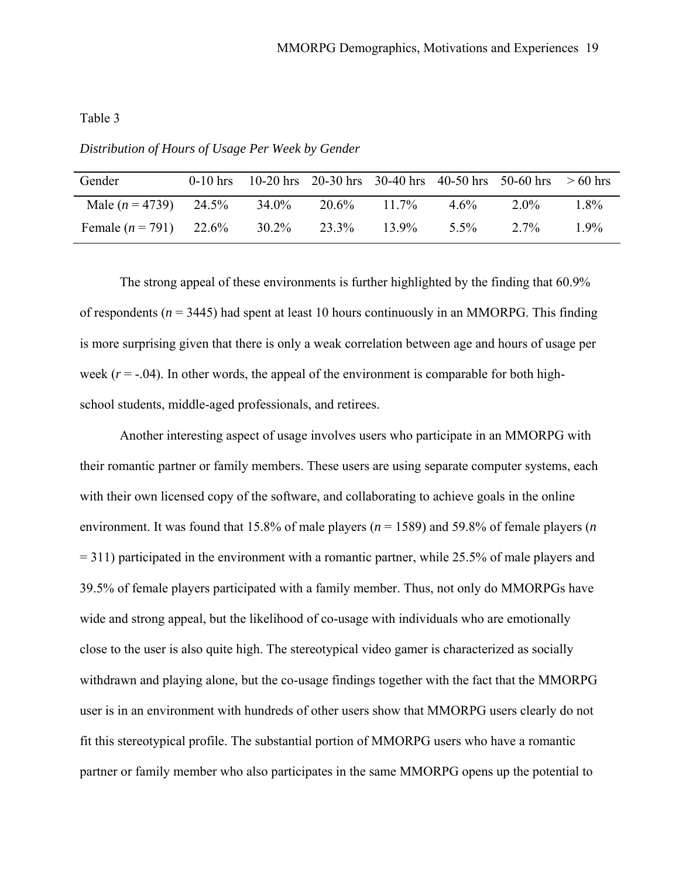Table 3

*Distribution of Hours of Usage Per Week by Gender* 

| Gender                   |          |       |          |         | 0-10 hrs 10-20 hrs 20-30 hrs 30-40 hrs 40-50 hrs 50-60 hrs $> 60$ hrs |         |
|--------------------------|----------|-------|----------|---------|-----------------------------------------------------------------------|---------|
| Male $(n = 4739)$ 24.5%  | 34.0%    | 20.6% | $11.7\%$ | $4.6\%$ | $2.0\%$                                                               | $1.8\%$ |
| Female $(n = 791)$ 22.6% | $30.2\%$ | 23.3% | $13.9\%$ | 5.5%    | $2.7\%$                                                               | 19%     |

 The strong appeal of these environments is further highlighted by the finding that 60.9% of respondents (*n* = 3445) had spent at least 10 hours continuously in an MMORPG. This finding is more surprising given that there is only a weak correlation between age and hours of usage per week  $(r = -0.04)$ . In other words, the appeal of the environment is comparable for both highschool students, middle-aged professionals, and retirees.

Another interesting aspect of usage involves users who participate in an MMORPG with their romantic partner or family members. These users are using separate computer systems, each with their own licensed copy of the software, and collaborating to achieve goals in the online environment. It was found that 15.8% of male players (*n* = 1589) and 59.8% of female players (*n* = 311) participated in the environment with a romantic partner, while 25.5% of male players and 39.5% of female players participated with a family member. Thus, not only do MMORPGs have wide and strong appeal, but the likelihood of co-usage with individuals who are emotionally close to the user is also quite high. The stereotypical video gamer is characterized as socially withdrawn and playing alone, but the co-usage findings together with the fact that the MMORPG user is in an environment with hundreds of other users show that MMORPG users clearly do not fit this stereotypical profile. The substantial portion of MMORPG users who have a romantic partner or family member who also participates in the same MMORPG opens up the potential to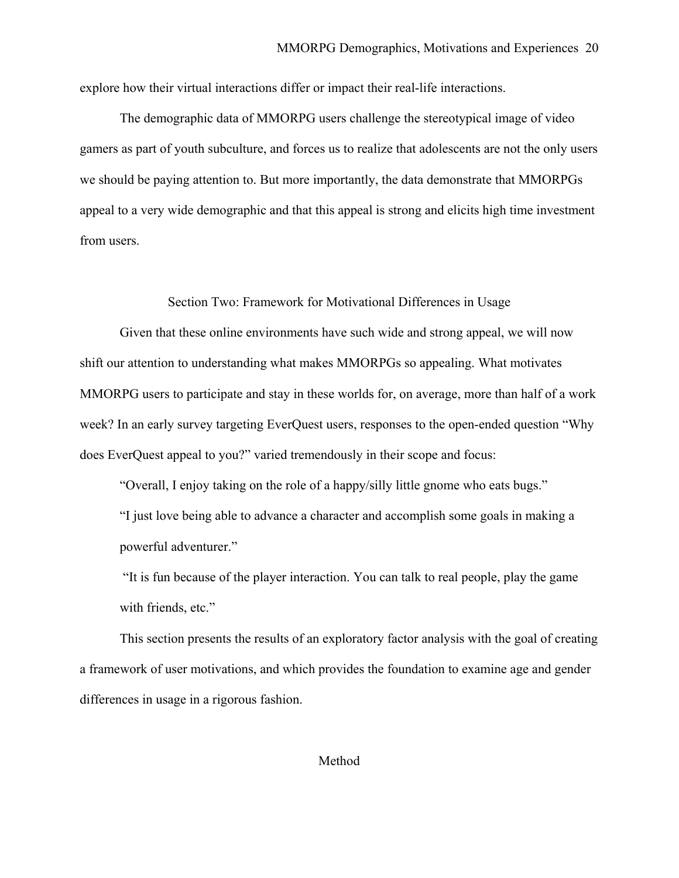explore how their virtual interactions differ or impact their real-life interactions.

 The demographic data of MMORPG users challenge the stereotypical image of video gamers as part of youth subculture, and forces us to realize that adolescents are not the only users we should be paying attention to. But more importantly, the data demonstrate that MMORPGs appeal to a very wide demographic and that this appeal is strong and elicits high time investment from users.

Section Two: Framework for Motivational Differences in Usage

 Given that these online environments have such wide and strong appeal, we will now shift our attention to understanding what makes MMORPGs so appealing. What motivates MMORPG users to participate and stay in these worlds for, on average, more than half of a work week? In an early survey targeting EverQuest users, responses to the open-ended question "Why does EverQuest appeal to you?" varied tremendously in their scope and focus:

"Overall, I enjoy taking on the role of a happy/silly little gnome who eats bugs." "I just love being able to advance a character and accomplish some goals in making a powerful adventurer."

 "It is fun because of the player interaction. You can talk to real people, play the game with friends, etc."

This section presents the results of an exploratory factor analysis with the goal of creating a framework of user motivations, and which provides the foundation to examine age and gender differences in usage in a rigorous fashion.

#### Method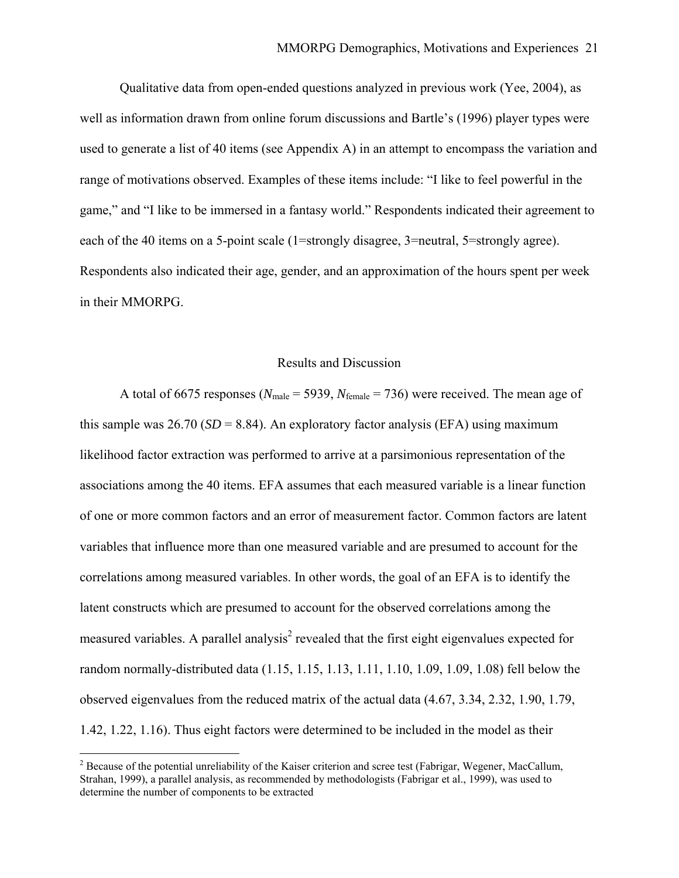Qualitative data from open-ended questions analyzed in previous work (Yee, 2004), as well as information drawn from online forum discussions and Bartle's (1996) player types were used to generate a list of 40 items (see Appendix A) in an attempt to encompass the variation and range of motivations observed. Examples of these items include: "I like to feel powerful in the game," and "I like to be immersed in a fantasy world." Respondents indicated their agreement to each of the 40 items on a 5-point scale (1=strongly disagree, 3=neutral, 5=strongly agree). Respondents also indicated their age, gender, and an approximation of the hours spent per week in their MMORPG.

#### Results and Discussion

A total of 6675 responses ( $N_{\text{male}} = 5939$ ,  $N_{\text{female}} = 736$ ) were received. The mean age of this sample was 26.70 ( $SD = 8.84$ ). An exploratory factor analysis (EFA) using maximum likelihood factor extraction was performed to arrive at a parsimonious representation of the associations among the 40 items. EFA assumes that each measured variable is a linear function of one or more common factors and an error of measurement factor. Common factors are latent variables that influence more than one measured variable and are presumed to account for the correlations among measured variables. In other words, the goal of an EFA is to identify the latent constructs which are presumed to account for the observed correlations among the measured variables. A parallel analysis<sup>2</sup> revealed that the first eight eigenvalues expected for random normally-distributed data (1.15, 1.15, 1.13, 1.11, 1.10, 1.09, 1.09, 1.08) fell below the observed eigenvalues from the reduced matrix of the actual data (4.67, 3.34, 2.32, 1.90, 1.79, 1.42, 1.22, 1.16). Thus eight factors were determined to be included in the model as their

1

 $2^{2}$  Because of the potential unreliability of the Kaiser criterion and scree test (Fabrigar, Wegener, MacCallum, Strahan, 1999), a parallel analysis, as recommended by methodologists (Fabrigar et al., 1999), was used to determine the number of components to be extracted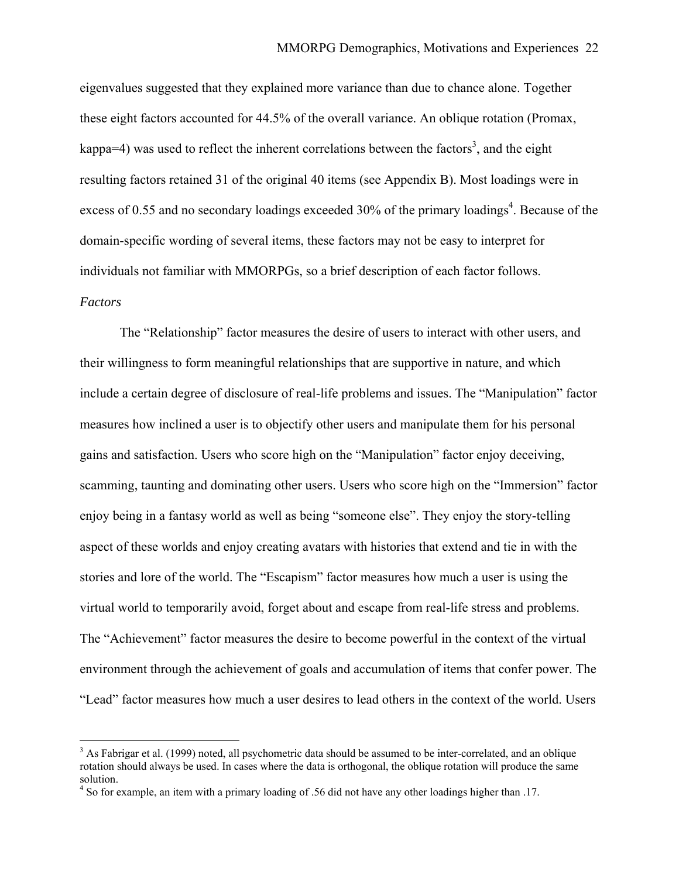eigenvalues suggested that they explained more variance than due to chance alone. Together these eight factors accounted for 44.5% of the overall variance. An oblique rotation (Promax, kappa=4) was used to reflect the inherent correlations between the factors<sup>3</sup>, and the eight resulting factors retained 31 of the original 40 items (see Appendix B). Most loadings were in excess of 0.55 and no secondary loadings exceeded  $30\%$  of the primary loadings<sup>4</sup>. Because of the domain-specific wording of several items, these factors may not be easy to interpret for individuals not familiar with MMORPGs, so a brief description of each factor follows. *Factors* 

The "Relationship" factor measures the desire of users to interact with other users, and their willingness to form meaningful relationships that are supportive in nature, and which include a certain degree of disclosure of real-life problems and issues. The "Manipulation" factor measures how inclined a user is to objectify other users and manipulate them for his personal gains and satisfaction. Users who score high on the "Manipulation" factor enjoy deceiving, scamming, taunting and dominating other users. Users who score high on the "Immersion" factor enjoy being in a fantasy world as well as being "someone else". They enjoy the story-telling aspect of these worlds and enjoy creating avatars with histories that extend and tie in with the stories and lore of the world. The "Escapism" factor measures how much a user is using the virtual world to temporarily avoid, forget about and escape from real-life stress and problems. The "Achievement" factor measures the desire to become powerful in the context of the virtual environment through the achievement of goals and accumulation of items that confer power. The "Lead" factor measures how much a user desires to lead others in the context of the world. Users

 $\overline{a}$ 

 $3$  As Fabrigar et al. (1999) noted, all psychometric data should be assumed to be inter-correlated, and an oblique rotation should always be used. In cases where the data is orthogonal, the oblique rotation will produce the same solution.

<sup>&</sup>lt;sup>4</sup> So for example, an item with a primary loading of .56 did not have any other loadings higher than .17.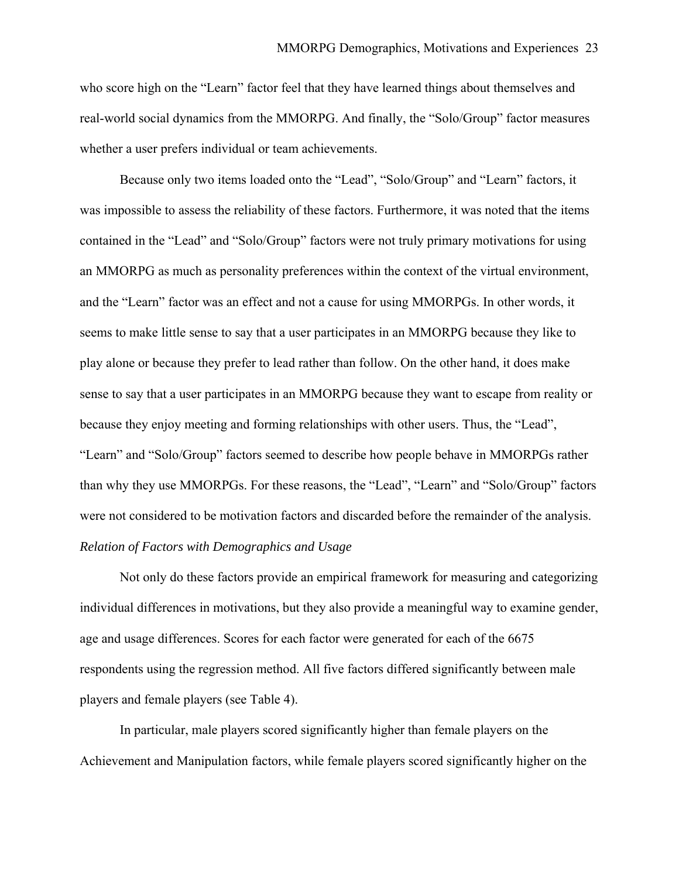who score high on the "Learn" factor feel that they have learned things about themselves and real-world social dynamics from the MMORPG. And finally, the "Solo/Group" factor measures whether a user prefers individual or team achievements.

Because only two items loaded onto the "Lead", "Solo/Group" and "Learn" factors, it was impossible to assess the reliability of these factors. Furthermore, it was noted that the items contained in the "Lead" and "Solo/Group" factors were not truly primary motivations for using an MMORPG as much as personality preferences within the context of the virtual environment, and the "Learn" factor was an effect and not a cause for using MMORPGs. In other words, it seems to make little sense to say that a user participates in an MMORPG because they like to play alone or because they prefer to lead rather than follow. On the other hand, it does make sense to say that a user participates in an MMORPG because they want to escape from reality or because they enjoy meeting and forming relationships with other users. Thus, the "Lead", "Learn" and "Solo/Group" factors seemed to describe how people behave in MMORPGs rather than why they use MMORPGs. For these reasons, the "Lead", "Learn" and "Solo/Group" factors were not considered to be motivation factors and discarded before the remainder of the analysis. *Relation of Factors with Demographics and Usage* 

Not only do these factors provide an empirical framework for measuring and categorizing individual differences in motivations, but they also provide a meaningful way to examine gender, age and usage differences. Scores for each factor were generated for each of the 6675 respondents using the regression method. All five factors differed significantly between male players and female players (see Table 4).

In particular, male players scored significantly higher than female players on the Achievement and Manipulation factors, while female players scored significantly higher on the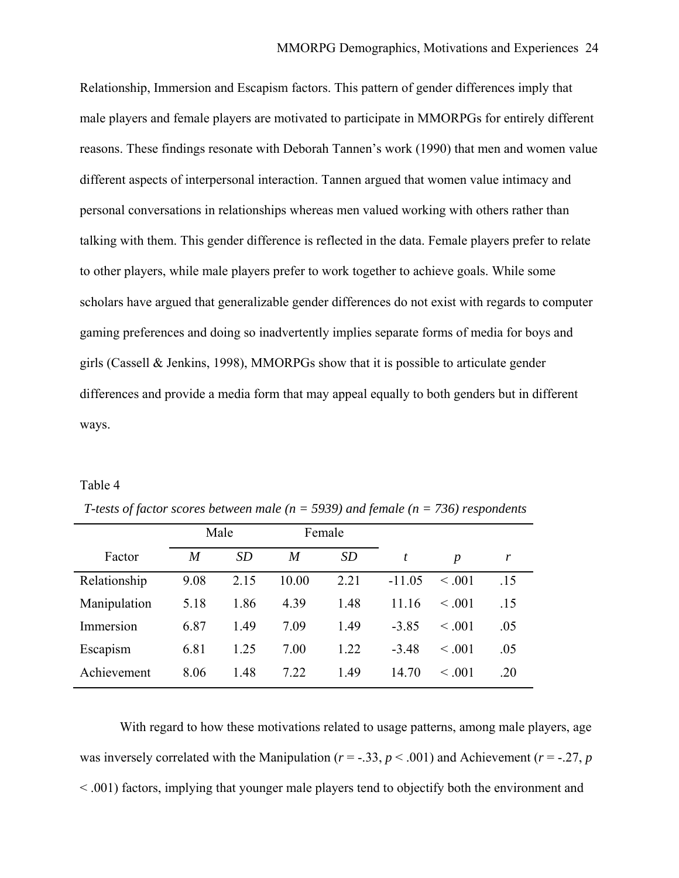Relationship, Immersion and Escapism factors. This pattern of gender differences imply that male players and female players are motivated to participate in MMORPGs for entirely different reasons. These findings resonate with Deborah Tannen's work (1990) that men and women value different aspects of interpersonal interaction. Tannen argued that women value intimacy and personal conversations in relationships whereas men valued working with others rather than talking with them. This gender difference is reflected in the data. Female players prefer to relate to other players, while male players prefer to work together to achieve goals. While some scholars have argued that generalizable gender differences do not exist with regards to computer gaming preferences and doing so inadvertently implies separate forms of media for boys and girls (Cassell & Jenkins, 1998), MMORPGs show that it is possible to articulate gender differences and provide a media form that may appeal equally to both genders but in different ways.

#### Table 4

|              |      | Male      | Female |      |          |                  |     |
|--------------|------|-----------|--------|------|----------|------------------|-----|
| Factor       | M    | <b>SD</b> | M      | SD   | t        | $\boldsymbol{p}$ | r   |
| Relationship | 9.08 | 2.15      | 10.00  | 2.21 | $-11.05$ | $\leq .001$      | .15 |
| Manipulation | 5.18 | 1.86      | 4.39   | 1.48 | 11.16    | $\leq .001$      | .15 |
| Immersion    | 6.87 | 1.49      | 7.09   | 1.49 | $-3.85$  | $\leq 0.01$      | .05 |
| Escapism     | 6.81 | 1.25      | 7.00   | 1.22 | $-3.48$  | $\leq .001$      | .05 |
| Achievement  | 8.06 | 1.48      | 7.22   | 1.49 | 14.70    | $\leq .001$      | .20 |

 *T-tests of factor scores between male (n = 5939) and female (n = 736) respondents* 

 With regard to how these motivations related to usage patterns, among male players, age was inversely correlated with the Manipulation ( $r = -.33$ ,  $p < .001$ ) and Achievement ( $r = -.27$ ,  $p$ ) < .001) factors, implying that younger male players tend to objectify both the environment and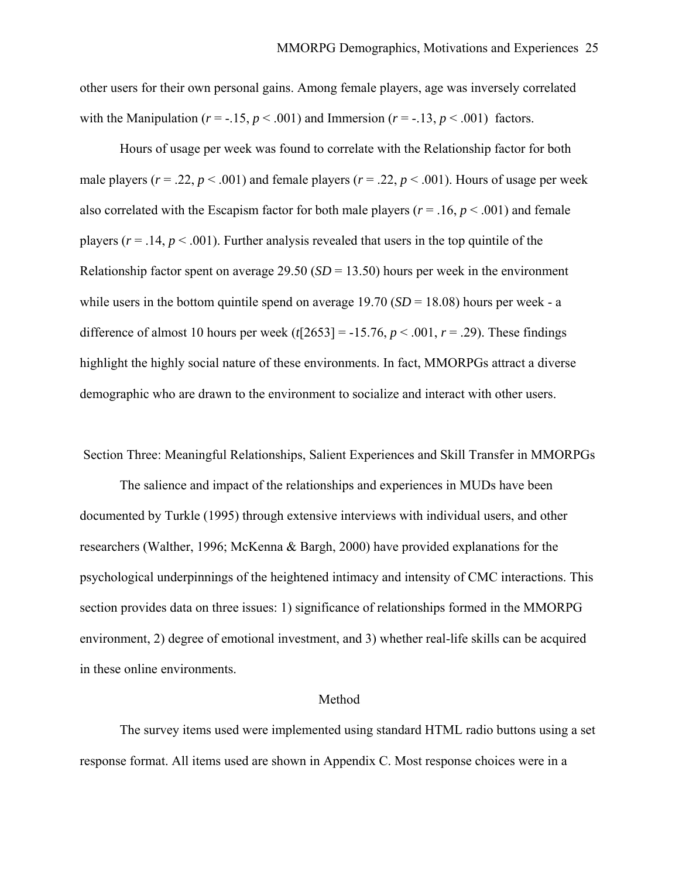other users for their own personal gains. Among female players, age was inversely correlated with the Manipulation ( $r = -.15$ ,  $p < .001$ ) and Immersion ( $r = -.13$ ,  $p < .001$ ) factors.

 Hours of usage per week was found to correlate with the Relationship factor for both male players ( $r = .22$ ,  $p < .001$ ) and female players ( $r = .22$ ,  $p < .001$ ). Hours of usage per week also correlated with the Escapism factor for both male players ( $r = .16$ ,  $p < .001$ ) and female players ( $r = .14$ ,  $p < .001$ ). Further analysis revealed that users in the top quintile of the Relationship factor spent on average  $29.50$  ( $SD = 13.50$ ) hours per week in the environment while users in the bottom quintile spend on average  $19.70$  ( $SD = 18.08$ ) hours per week - a difference of almost 10 hours per week  $(t[2653] = -15.76, p < .001, r = .29)$ . These findings highlight the highly social nature of these environments. In fact, MMORPGs attract a diverse demographic who are drawn to the environment to socialize and interact with other users.

Section Three: Meaningful Relationships, Salient Experiences and Skill Transfer in MMORPGs

 The salience and impact of the relationships and experiences in MUDs have been documented by Turkle (1995) through extensive interviews with individual users, and other researchers (Walther, 1996; McKenna & Bargh, 2000) have provided explanations for the psychological underpinnings of the heightened intimacy and intensity of CMC interactions. This section provides data on three issues: 1) significance of relationships formed in the MMORPG environment, 2) degree of emotional investment, and 3) whether real-life skills can be acquired in these online environments.

#### Method

 The survey items used were implemented using standard HTML radio buttons using a set response format. All items used are shown in Appendix C. Most response choices were in a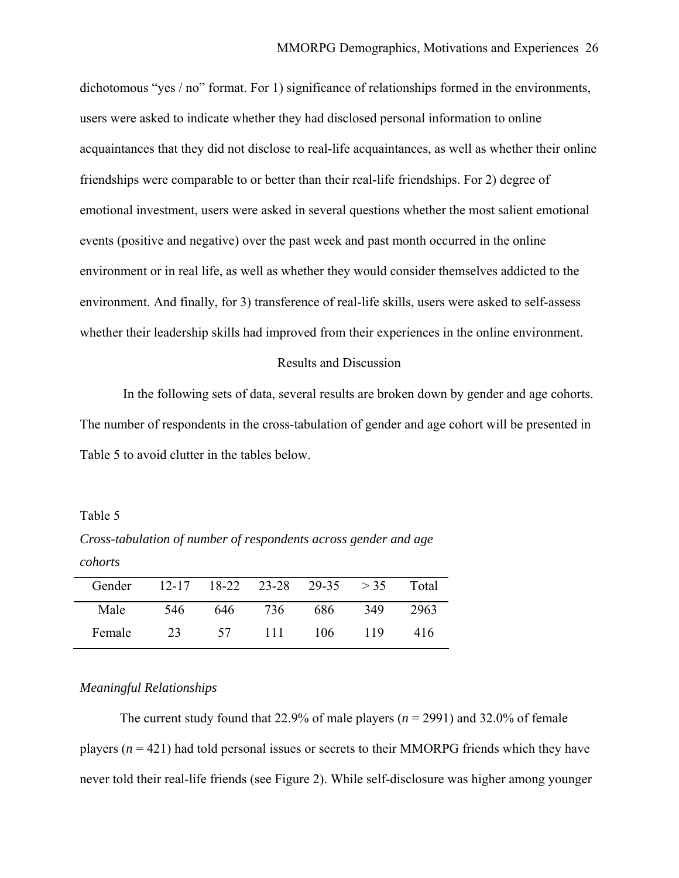dichotomous "yes / no" format. For 1) significance of relationships formed in the environments, users were asked to indicate whether they had disclosed personal information to online acquaintances that they did not disclose to real-life acquaintances, as well as whether their online friendships were comparable to or better than their real-life friendships. For 2) degree of emotional investment, users were asked in several questions whether the most salient emotional events (positive and negative) over the past week and past month occurred in the online environment or in real life, as well as whether they would consider themselves addicted to the environment. And finally, for 3) transference of real-life skills, users were asked to self-assess whether their leadership skills had improved from their experiences in the online environment.

#### Results and Discussion

 In the following sets of data, several results are broken down by gender and age cohorts. The number of respondents in the cross-tabulation of gender and age cohort will be presented in Table 5 to avoid clutter in the tables below.

Table 5

*Cross-tabulation of number of respondents across gender and age cohorts* 

| Gender | $12 - 17$ |     | 18-22 23-28 29-35 |     | $>$ 35 | Total |
|--------|-----------|-----|-------------------|-----|--------|-------|
| Male   | 546       | 646 | 736               | 686 | 349    | 2963  |
| Female | 23        | 57  | 111               | 106 | 119    | 416   |

#### *Meaningful Relationships*

The current study found that 22.9% of male players (*n* = 2991) and 32.0% of female players  $(n = 421)$  had told personal issues or secrets to their MMORPG friends which they have never told their real-life friends (see Figure 2). While self-disclosure was higher among younger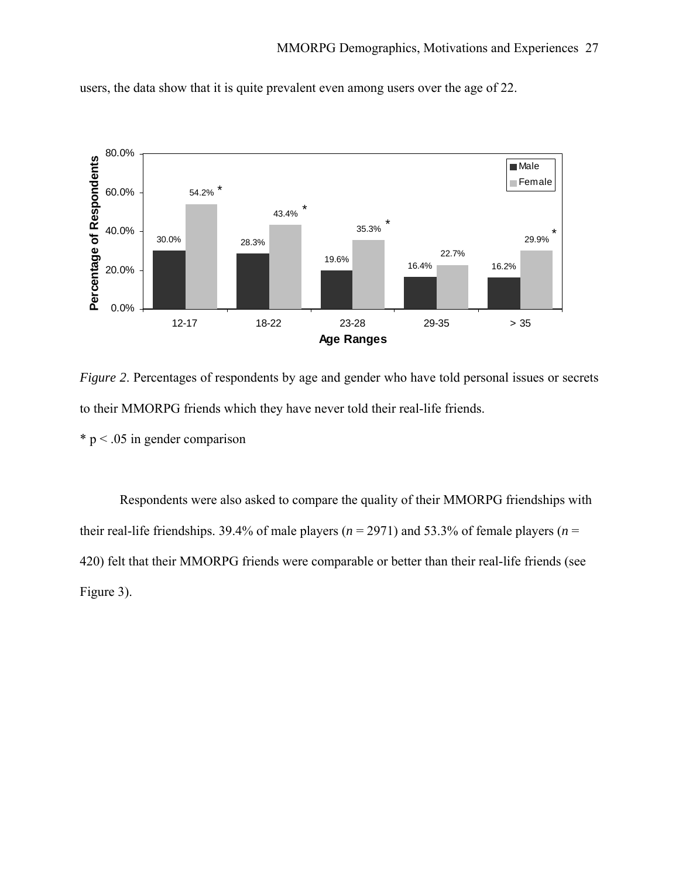

users, the data show that it is quite prevalent even among users over the age of 22.

*Figure 2*. Percentages of respondents by age and gender who have told personal issues or secrets to their MMORPG friends which they have never told their real-life friends.

 $*$  p < .05 in gender comparison

Respondents were also asked to compare the quality of their MMORPG friendships with their real-life friendships. 39.4% of male players ( $n = 2971$ ) and 53.3% of female players ( $n =$ 420) felt that their MMORPG friends were comparable or better than their real-life friends (see Figure 3).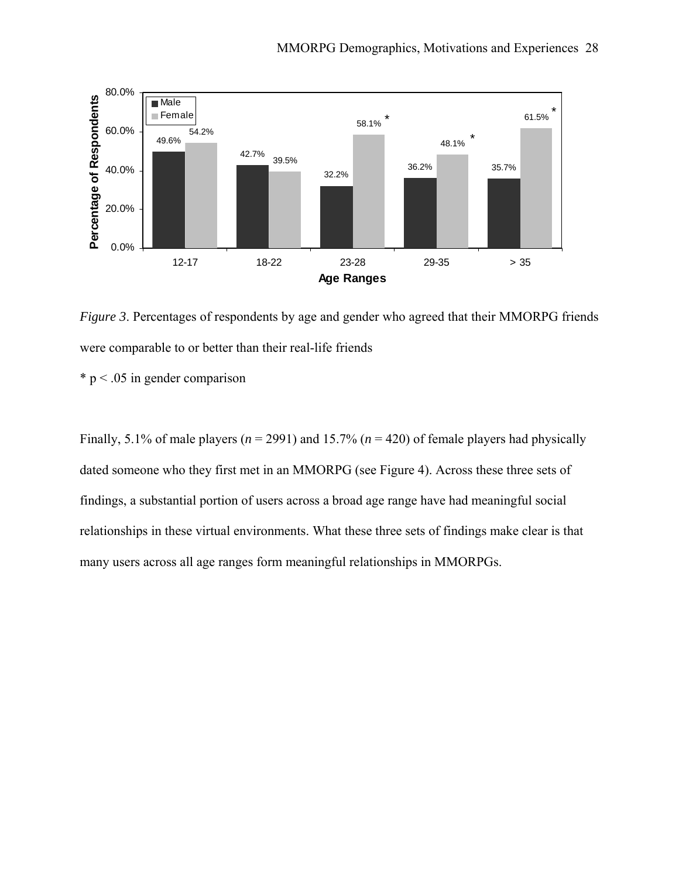

*Figure 3*. Percentages of respondents by age and gender who agreed that their MMORPG friends were comparable to or better than their real-life friends

 $*$  p < .05 in gender comparison

Finally, 5.1% of male players ( $n = 2991$ ) and 15.7% ( $n = 420$ ) of female players had physically dated someone who they first met in an MMORPG (see Figure 4). Across these three sets of findings, a substantial portion of users across a broad age range have had meaningful social relationships in these virtual environments. What these three sets of findings make clear is that many users across all age ranges form meaningful relationships in MMORPGs.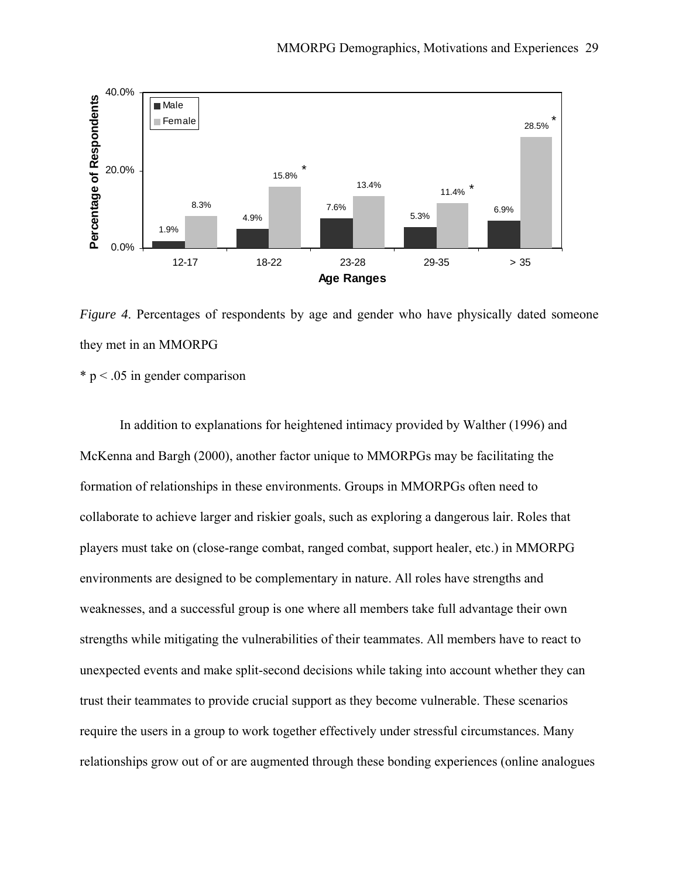

*Figure 4.* Percentages of respondents by age and gender who have physically dated someone they met in an MMORPG

 $* p < .05$  in gender comparison

In addition to explanations for heightened intimacy provided by Walther (1996) and McKenna and Bargh (2000), another factor unique to MMORPGs may be facilitating the formation of relationships in these environments. Groups in MMORPGs often need to collaborate to achieve larger and riskier goals, such as exploring a dangerous lair. Roles that players must take on (close-range combat, ranged combat, support healer, etc.) in MMORPG environments are designed to be complementary in nature. All roles have strengths and weaknesses, and a successful group is one where all members take full advantage their own strengths while mitigating the vulnerabilities of their teammates. All members have to react to unexpected events and make split-second decisions while taking into account whether they can trust their teammates to provide crucial support as they become vulnerable. These scenarios require the users in a group to work together effectively under stressful circumstances. Many relationships grow out of or are augmented through these bonding experiences (online analogues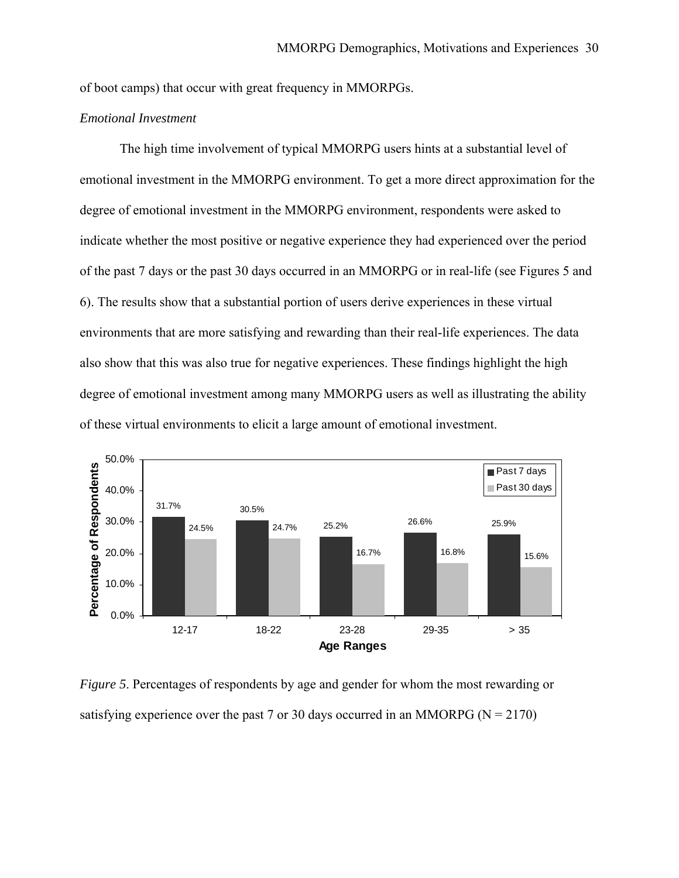of boot camps) that occur with great frequency in MMORPGs.

# *Emotional Investment*

The high time involvement of typical MMORPG users hints at a substantial level of emotional investment in the MMORPG environment. To get a more direct approximation for the degree of emotional investment in the MMORPG environment, respondents were asked to indicate whether the most positive or negative experience they had experienced over the period of the past 7 days or the past 30 days occurred in an MMORPG or in real-life (see Figures 5 and 6). The results show that a substantial portion of users derive experiences in these virtual environments that are more satisfying and rewarding than their real-life experiences. The data also show that this was also true for negative experiences. These findings highlight the high degree of emotional investment among many MMORPG users as well as illustrating the ability of these virtual environments to elicit a large amount of emotional investment.



*Figure 5*. Percentages of respondents by age and gender for whom the most rewarding or satisfying experience over the past 7 or 30 days occurred in an MMORPG ( $N = 2170$ )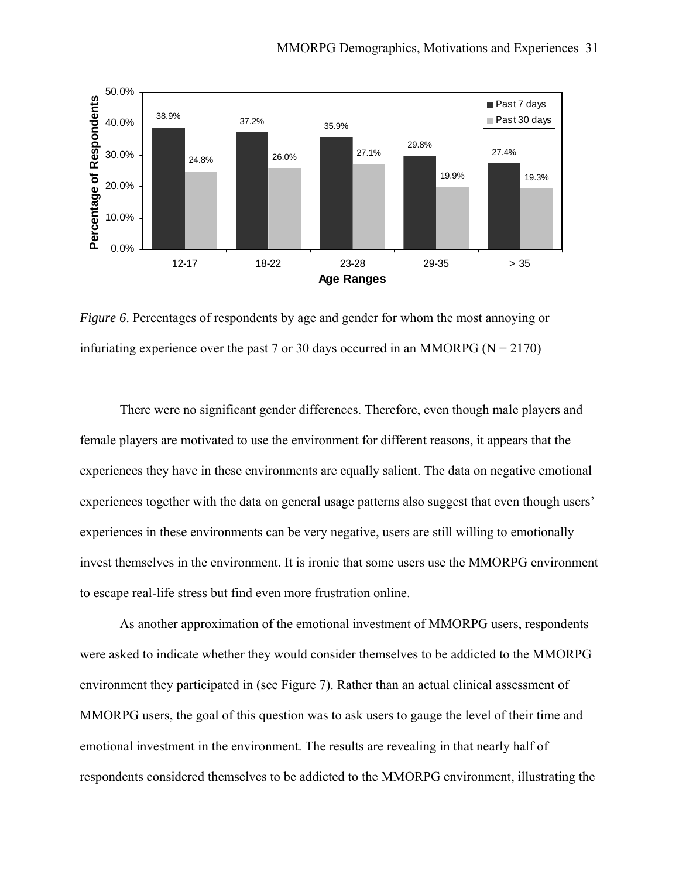

*Figure 6*. Percentages of respondents by age and gender for whom the most annoying or infuriating experience over the past 7 or 30 days occurred in an MMORPG ( $N = 2170$ )

There were no significant gender differences. Therefore, even though male players and female players are motivated to use the environment for different reasons, it appears that the experiences they have in these environments are equally salient. The data on negative emotional experiences together with the data on general usage patterns also suggest that even though users' experiences in these environments can be very negative, users are still willing to emotionally invest themselves in the environment. It is ironic that some users use the MMORPG environment to escape real-life stress but find even more frustration online.

 As another approximation of the emotional investment of MMORPG users, respondents were asked to indicate whether they would consider themselves to be addicted to the MMORPG environment they participated in (see Figure 7). Rather than an actual clinical assessment of MMORPG users, the goal of this question was to ask users to gauge the level of their time and emotional investment in the environment. The results are revealing in that nearly half of respondents considered themselves to be addicted to the MMORPG environment, illustrating the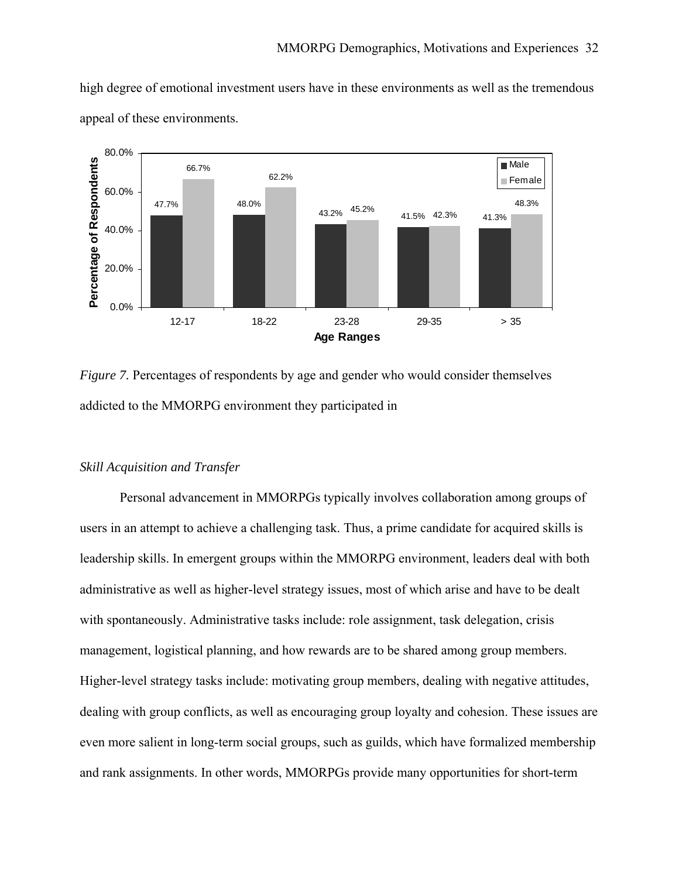high degree of emotional investment users have in these environments as well as the tremendous appeal of these environments.



*Figure 7.* Percentages of respondents by age and gender who would consider themselves addicted to the MMORPG environment they participated in

### *Skill Acquisition and Transfer*

Personal advancement in MMORPGs typically involves collaboration among groups of users in an attempt to achieve a challenging task. Thus, a prime candidate for acquired skills is leadership skills. In emergent groups within the MMORPG environment, leaders deal with both administrative as well as higher-level strategy issues, most of which arise and have to be dealt with spontaneously. Administrative tasks include: role assignment, task delegation, crisis management, logistical planning, and how rewards are to be shared among group members. Higher-level strategy tasks include: motivating group members, dealing with negative attitudes, dealing with group conflicts, as well as encouraging group loyalty and cohesion. These issues are even more salient in long-term social groups, such as guilds, which have formalized membership and rank assignments. In other words, MMORPGs provide many opportunities for short-term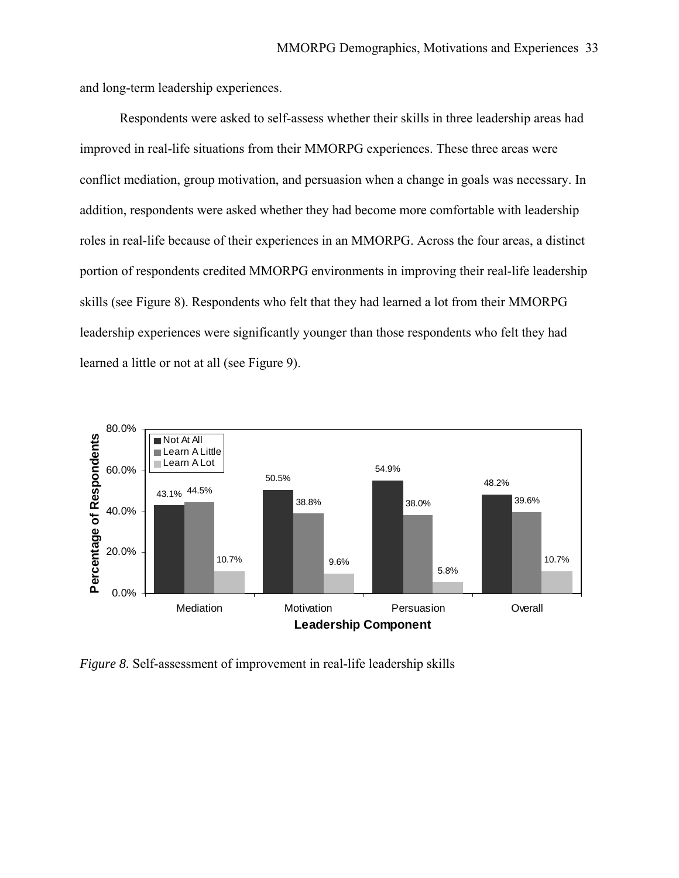and long-term leadership experiences.

 Respondents were asked to self-assess whether their skills in three leadership areas had improved in real-life situations from their MMORPG experiences. These three areas were conflict mediation, group motivation, and persuasion when a change in goals was necessary. In addition, respondents were asked whether they had become more comfortable with leadership roles in real-life because of their experiences in an MMORPG. Across the four areas, a distinct portion of respondents credited MMORPG environments in improving their real-life leadership skills (see Figure 8). Respondents who felt that they had learned a lot from their MMORPG leadership experiences were significantly younger than those respondents who felt they had learned a little or not at all (see Figure 9).



*Figure 8.* Self-assessment of improvement in real-life leadership skills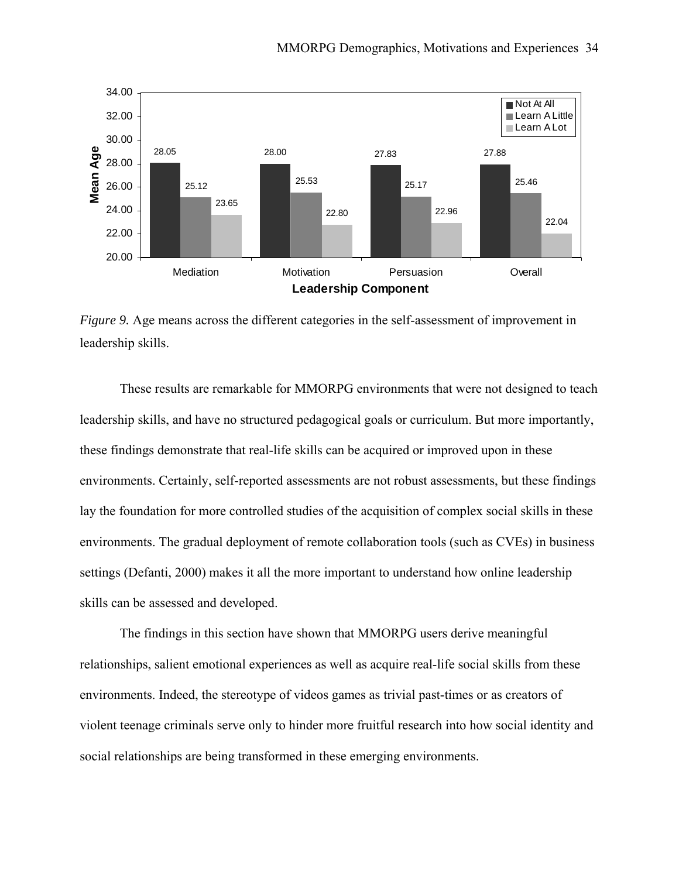

*Figure 9.* Age means across the different categories in the self-assessment of improvement in leadership skills.

 These results are remarkable for MMORPG environments that were not designed to teach leadership skills, and have no structured pedagogical goals or curriculum. But more importantly, these findings demonstrate that real-life skills can be acquired or improved upon in these environments. Certainly, self-reported assessments are not robust assessments, but these findings lay the foundation for more controlled studies of the acquisition of complex social skills in these environments. The gradual deployment of remote collaboration tools (such as CVEs) in business settings (Defanti, 2000) makes it all the more important to understand how online leadership skills can be assessed and developed.

 The findings in this section have shown that MMORPG users derive meaningful relationships, salient emotional experiences as well as acquire real-life social skills from these environments. Indeed, the stereotype of videos games as trivial past-times or as creators of violent teenage criminals serve only to hinder more fruitful research into how social identity and social relationships are being transformed in these emerging environments.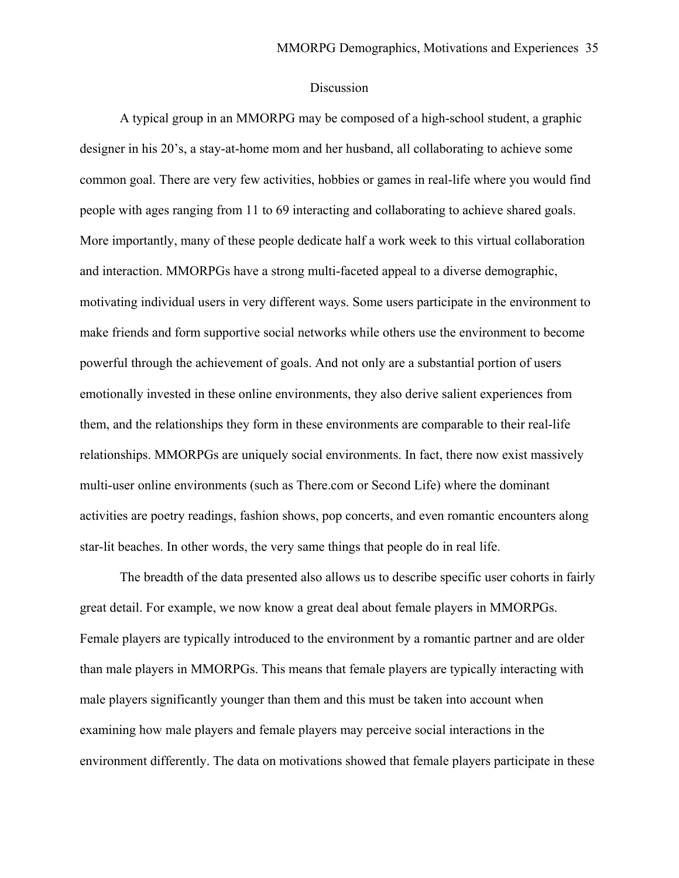# Discussion

A typical group in an MMORPG may be composed of a high-school student, a graphic designer in his 20's, a stay-at-home mom and her husband, all collaborating to achieve some common goal. There are very few activities, hobbies or games in real-life where you would find people with ages ranging from 11 to 69 interacting and collaborating to achieve shared goals. More importantly, many of these people dedicate half a work week to this virtual collaboration and interaction. MMORPGs have a strong multi-faceted appeal to a diverse demographic, motivating individual users in very different ways. Some users participate in the environment to make friends and form supportive social networks while others use the environment to become powerful through the achievement of goals. And not only are a substantial portion of users emotionally invested in these online environments, they also derive salient experiences from them, and the relationships they form in these environments are comparable to their real-life relationships. MMORPGs are uniquely social environments. In fact, there now exist massively multi-user online environments (such as There.com or Second Life) where the dominant activities are poetry readings, fashion shows, pop concerts, and even romantic encounters along star-lit beaches. In other words, the very same things that people do in real life.

 The breadth of the data presented also allows us to describe specific user cohorts in fairly great detail. For example, we now know a great deal about female players in MMORPGs. Female players are typically introduced to the environment by a romantic partner and are older than male players in MMORPGs. This means that female players are typically interacting with male players significantly younger than them and this must be taken into account when examining how male players and female players may perceive social interactions in the environment differently. The data on motivations showed that female players participate in these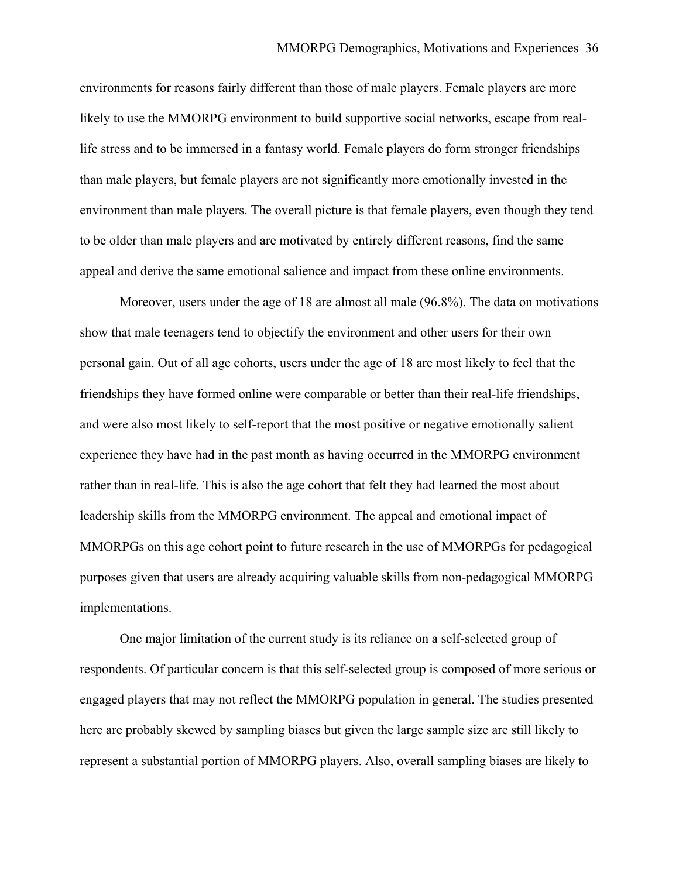environments for reasons fairly different than those of male players. Female players are more likely to use the MMORPG environment to build supportive social networks, escape from reallife stress and to be immersed in a fantasy world. Female players do form stronger friendships than male players, but female players are not significantly more emotionally invested in the environment than male players. The overall picture is that female players, even though they tend to be older than male players and are motivated by entirely different reasons, find the same appeal and derive the same emotional salience and impact from these online environments.

 Moreover, users under the age of 18 are almost all male (96.8%). The data on motivations show that male teenagers tend to objectify the environment and other users for their own personal gain. Out of all age cohorts, users under the age of 18 are most likely to feel that the friendships they have formed online were comparable or better than their real-life friendships, and were also most likely to self-report that the most positive or negative emotionally salient experience they have had in the past month as having occurred in the MMORPG environment rather than in real-life. This is also the age cohort that felt they had learned the most about leadership skills from the MMORPG environment. The appeal and emotional impact of MMORPGs on this age cohort point to future research in the use of MMORPGs for pedagogical purposes given that users are already acquiring valuable skills from non-pedagogical MMORPG implementations.

One major limitation of the current study is its reliance on a self-selected group of respondents. Of particular concern is that this self-selected group is composed of more serious or engaged players that may not reflect the MMORPG population in general. The studies presented here are probably skewed by sampling biases but given the large sample size are still likely to represent a substantial portion of MMORPG players. Also, overall sampling biases are likely to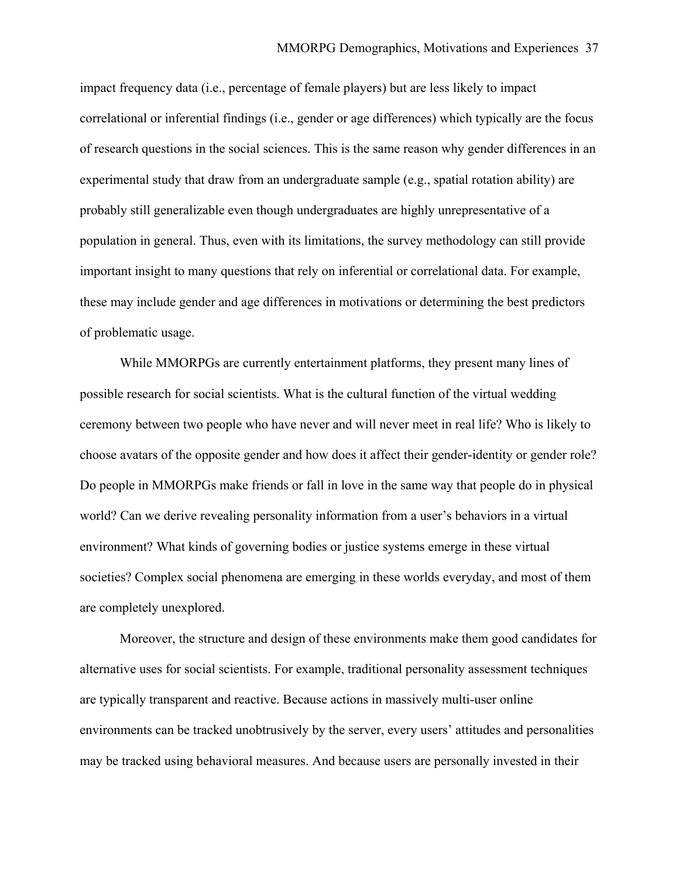impact frequency data (i.e., percentage of female players) but are less likely to impact correlational or inferential findings (i.e., gender or age differences) which typically are the focus of research questions in the social sciences. This is the same reason why gender differences in an experimental study that draw from an undergraduate sample (e.g., spatial rotation ability) are probably still generalizable even though undergraduates are highly unrepresentative of a population in general. Thus, even with its limitations, the survey methodology can still provide important insight to many questions that rely on inferential or correlational data. For example, these may include gender and age differences in motivations or determining the best predictors of problematic usage.

 While MMORPGs are currently entertainment platforms, they present many lines of possible research for social scientists. What is the cultural function of the virtual wedding ceremony between two people who have never and will never meet in real life? Who is likely to choose avatars of the opposite gender and how does it affect their gender-identity or gender role? Do people in MMORPGs make friends or fall in love in the same way that people do in physical world? Can we derive revealing personality information from a user's behaviors in a virtual environment? What kinds of governing bodies or justice systems emerge in these virtual societies? Complex social phenomena are emerging in these worlds everyday, and most of them are completely unexplored.

 Moreover, the structure and design of these environments make them good candidates for alternative uses for social scientists. For example, traditional personality assessment techniques are typically transparent and reactive. Because actions in massively multi-user online environments can be tracked unobtrusively by the server, every users' attitudes and personalities may be tracked using behavioral measures. And because users are personally invested in their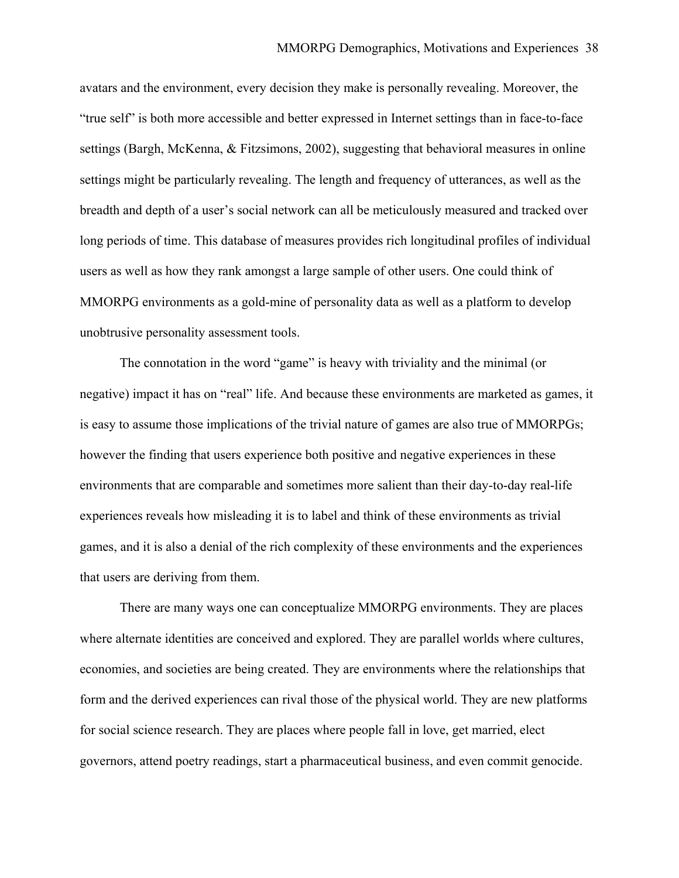avatars and the environment, every decision they make is personally revealing. Moreover, the "true self" is both more accessible and better expressed in Internet settings than in face-to-face settings (Bargh, McKenna, & Fitzsimons, 2002), suggesting that behavioral measures in online settings might be particularly revealing. The length and frequency of utterances, as well as the breadth and depth of a user's social network can all be meticulously measured and tracked over long periods of time. This database of measures provides rich longitudinal profiles of individual users as well as how they rank amongst a large sample of other users. One could think of MMORPG environments as a gold-mine of personality data as well as a platform to develop unobtrusive personality assessment tools.

The connotation in the word "game" is heavy with triviality and the minimal (or negative) impact it has on "real" life. And because these environments are marketed as games, it is easy to assume those implications of the trivial nature of games are also true of MMORPGs; however the finding that users experience both positive and negative experiences in these environments that are comparable and sometimes more salient than their day-to-day real-life experiences reveals how misleading it is to label and think of these environments as trivial games, and it is also a denial of the rich complexity of these environments and the experiences that users are deriving from them.

There are many ways one can conceptualize MMORPG environments. They are places where alternate identities are conceived and explored. They are parallel worlds where cultures, economies, and societies are being created. They are environments where the relationships that form and the derived experiences can rival those of the physical world. They are new platforms for social science research. They are places where people fall in love, get married, elect governors, attend poetry readings, start a pharmaceutical business, and even commit genocide.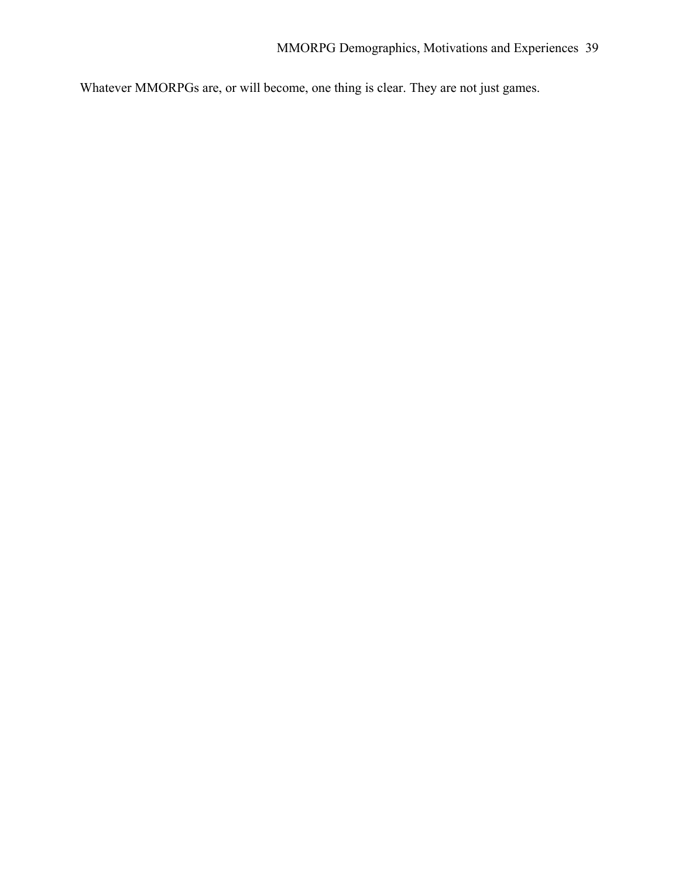Whatever MMORPGs are, or will become, one thing is clear. They are not just games.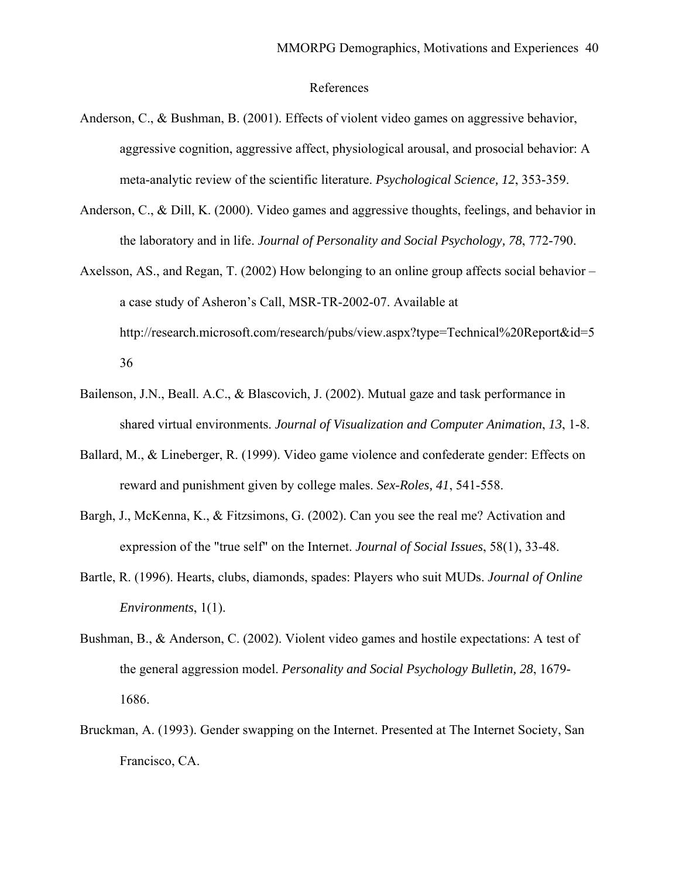### References

- Anderson, C., & Bushman, B. (2001). Effects of violent video games on aggressive behavior, aggressive cognition, aggressive affect, physiological arousal, and prosocial behavior: A meta-analytic review of the scientific literature. *Psychological Science, 12*, 353-359.
- Anderson, C., & Dill, K. (2000). Video games and aggressive thoughts, feelings, and behavior in the laboratory and in life. *Journal of Personality and Social Psychology, 78*, 772-790.
- Axelsson, AS., and Regan, T. (2002) How belonging to an online group affects social behavior a case study of Asheron's Call, MSR-TR-2002-07. Available at http://research.microsoft.com/research/pubs/view.aspx?type=Technical%20Report&id=5 36
- Bailenson, J.N., Beall. A.C., & Blascovich, J. (2002). Mutual gaze and task performance in shared virtual environments. *Journal of Visualization and Computer Animation*, *13*, 1-8.
- Ballard, M., & Lineberger, R. (1999). Video game violence and confederate gender: Effects on reward and punishment given by college males. *Sex-Roles, 41*, 541-558.
- Bargh, J., McKenna, K., & Fitzsimons, G. (2002). Can you see the real me? Activation and expression of the "true self" on the Internet. *Journal of Social Issues*, 58(1), 33-48.
- Bartle, R. (1996). Hearts, clubs, diamonds, spades: Players who suit MUDs. *Journal of Online Environments*, 1(1).
- Bushman, B., & Anderson, C. (2002). Violent video games and hostile expectations: A test of the general aggression model. *Personality and Social Psychology Bulletin, 28*, 1679- 1686.
- Bruckman, A. (1993). Gender swapping on the Internet. Presented at The Internet Society, San Francisco, CA.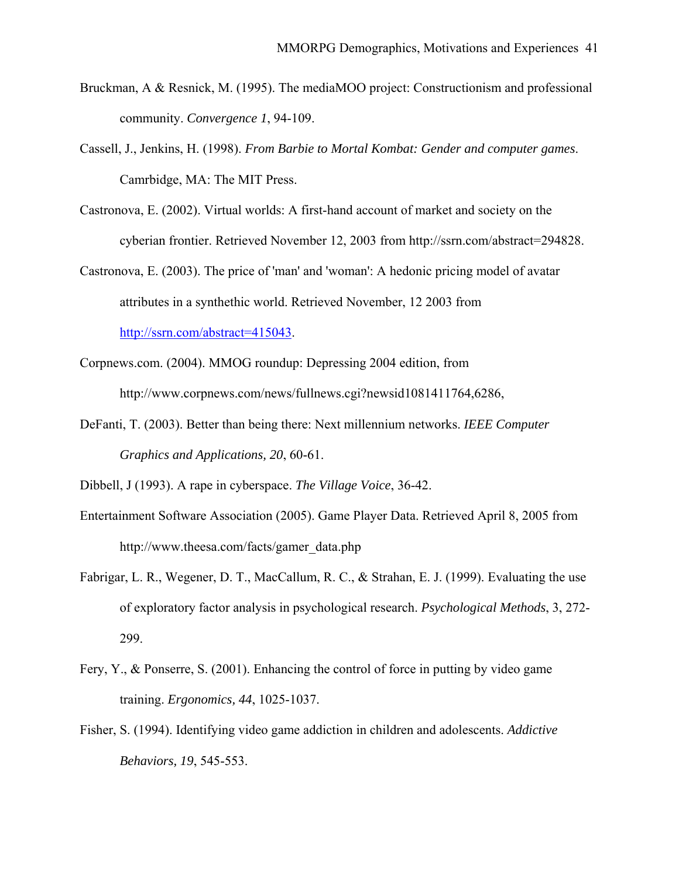- Bruckman, A & Resnick, M. (1995). The mediaMOO project: Constructionism and professional community. *Convergence 1*, 94-109.
- Cassell, J., Jenkins, H. (1998). *From Barbie to Mortal Kombat: Gender and computer games*. Camrbidge, MA: The MIT Press.
- Castronova, E. (2002). Virtual worlds: A first-hand account of market and society on the cyberian frontier. Retrieved November 12, 2003 from http://ssrn.com/abstract=294828.
- Castronova, E. (2003). The price of 'man' and 'woman': A hedonic pricing model of avatar attributes in a synthethic world. Retrieved November, 12 2003 from http://ssrn.com/abstract=415043.
- Corpnews.com. (2004). MMOG roundup: Depressing 2004 edition, from http://www.corpnews.com/news/fullnews.cgi?newsid1081411764,6286,
- DeFanti, T. (2003). Better than being there: Next millennium networks. *IEEE Computer Graphics and Applications, 20*, 60-61.

Dibbell, J (1993). A rape in cyberspace. *The Village Voice*, 36-42.

- Entertainment Software Association (2005). Game Player Data. Retrieved April 8, 2005 from http://www.theesa.com/facts/gamer\_data.php
- Fabrigar, L. R., Wegener, D. T., MacCallum, R. C., & Strahan, E. J. (1999). Evaluating the use of exploratory factor analysis in psychological research. *Psychological Methods*, 3, 272- 299.
- Fery, Y., & Ponserre, S. (2001). Enhancing the control of force in putting by video game training. *Ergonomics, 44*, 1025-1037.
- Fisher, S. (1994). Identifying video game addiction in children and adolescents. *Addictive Behaviors, 19*, 545-553.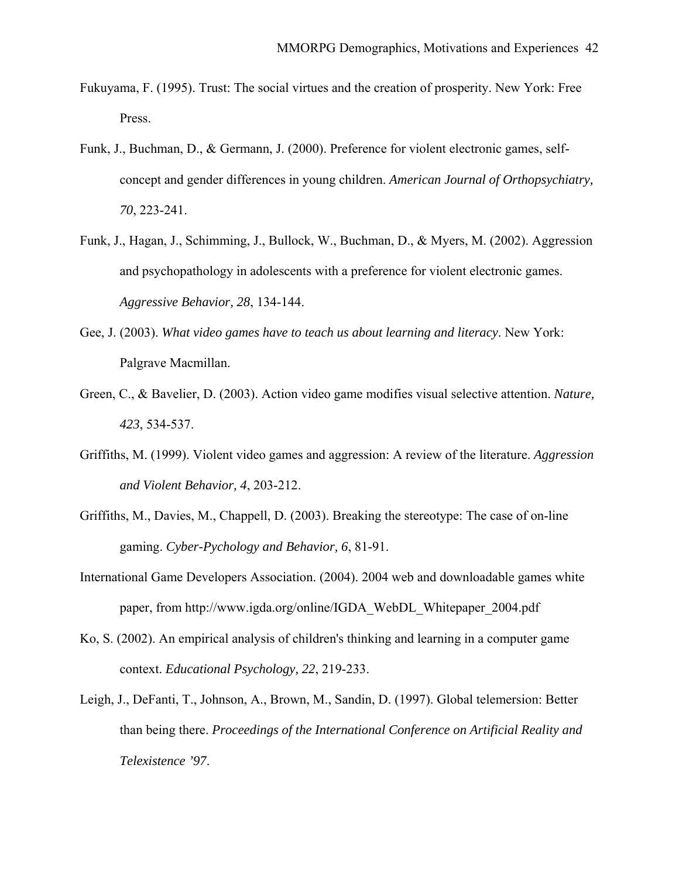- Fukuyama, F. (1995). Trust: The social virtues and the creation of prosperity. New York: Free Press.
- Funk, J., Buchman, D., & Germann, J. (2000). Preference for violent electronic games, selfconcept and gender differences in young children. *American Journal of Orthopsychiatry, 70*, 223-241.
- Funk, J., Hagan, J., Schimming, J., Bullock, W., Buchman, D., & Myers, M. (2002). Aggression and psychopathology in adolescents with a preference for violent electronic games. *Aggressive Behavior, 28*, 134-144.
- Gee, J. (2003). *What video games have to teach us about learning and literacy*. New York: Palgrave Macmillan.
- Green, C., & Bavelier, D. (2003). Action video game modifies visual selective attention. *Nature, 423*, 534-537.
- Griffiths, M. (1999). Violent video games and aggression: A review of the literature. *Aggression and Violent Behavior, 4*, 203-212.
- Griffiths, M., Davies, M., Chappell, D. (2003). Breaking the stereotype: The case of on-line gaming. *Cyber-Pychology and Behavior, 6*, 81-91.
- International Game Developers Association. (2004). 2004 web and downloadable games white paper, from http://www.igda.org/online/IGDA\_WebDL\_Whitepaper\_2004.pdf
- Ko, S. (2002). An empirical analysis of children's thinking and learning in a computer game context. *Educational Psychology, 22*, 219-233.
- Leigh, J., DeFanti, T., Johnson, A., Brown, M., Sandin, D. (1997). Global telemersion: Better than being there. *Proceedings of the International Conference on Artificial Reality and Telexistence '97*.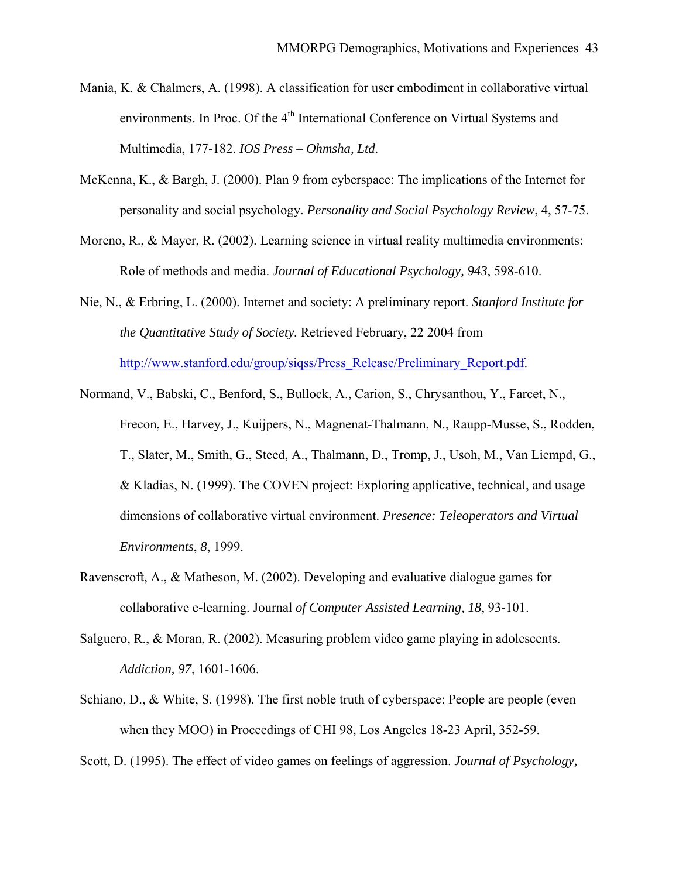- Mania, K. & Chalmers, A. (1998). A classification for user embodiment in collaborative virtual environments. In Proc. Of the 4<sup>th</sup> International Conference on Virtual Systems and Multimedia, 177-182. *IOS Press – Ohmsha, Ltd*.
- McKenna, K., & Bargh, J. (2000). Plan 9 from cyberspace: The implications of the Internet for personality and social psychology. *Personality and Social Psychology Review*, 4, 57-75.
- Moreno, R., & Mayer, R. (2002). Learning science in virtual reality multimedia environments: Role of methods and media. *Journal of Educational Psychology, 943*, 598-610.
- Nie, N., & Erbring, L. (2000). Internet and society: A preliminary report. *Stanford Institute for the Quantitative Study of Society.* Retrieved February, 22 2004 from http://www.stanford.edu/group/siqss/Press\_Release/Preliminary\_Report.pdf.
- Normand, V., Babski, C., Benford, S., Bullock, A., Carion, S., Chrysanthou, Y., Farcet, N., Frecon, E., Harvey, J., Kuijpers, N., Magnenat-Thalmann, N., Raupp-Musse, S., Rodden, T., Slater, M., Smith, G., Steed, A., Thalmann, D., Tromp, J., Usoh, M., Van Liempd, G., & Kladias, N. (1999). The COVEN project: Exploring applicative, technical, and usage dimensions of collaborative virtual environment. *Presence: Teleoperators and Virtual Environments*, *8*, 1999.
- Ravenscroft, A., & Matheson, M. (2002). Developing and evaluative dialogue games for collaborative e-learning. Journal *of Computer Assisted Learning, 18*, 93-101.
- Salguero, R., & Moran, R. (2002). Measuring problem video game playing in adolescents. *Addiction, 97*, 1601-1606.
- Schiano, D., & White, S. (1998). The first noble truth of cyberspace: People are people (even when they MOO) in Proceedings of CHI 98, Los Angeles 18-23 April, 352-59.

Scott, D. (1995). The effect of video games on feelings of aggression. *Journal of Psychology,*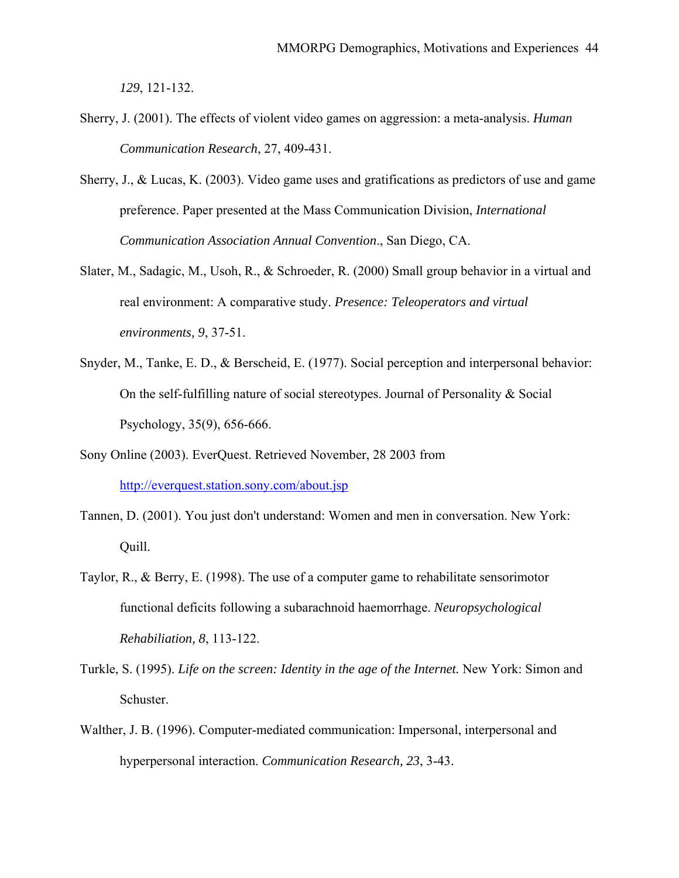*129*, 121-132.

- Sherry, J. (2001). The effects of violent video games on aggression: a meta-analysis. *Human Communication Research*, 27, 409-431.
- Sherry, J., & Lucas, K. (2003). Video game uses and gratifications as predictors of use and game preference. Paper presented at the Mass Communication Division, *International Communication Association Annual Convention*., San Diego, CA.
- Slater, M., Sadagic, M., Usoh, R., & Schroeder, R. (2000) Small group behavior in a virtual and real environment: A comparative study. *Presence: Teleoperators and virtual environments, 9*, 37-51.
- Snyder, M., Tanke, E. D., & Berscheid, E. (1977). Social perception and interpersonal behavior: On the self-fulfilling nature of social stereotypes. Journal of Personality & Social Psychology, 35(9), 656-666.
- Sony Online (2003). EverQuest. Retrieved November, 28 2003 from http://everquest.station.sony.com/about.jsp
- Tannen, D. (2001). You just don't understand: Women and men in conversation. New York: Quill.
- Taylor, R., & Berry, E. (1998). The use of a computer game to rehabilitate sensorimotor functional deficits following a subarachnoid haemorrhage. *Neuropsychological Rehabiliation, 8*, 113-122.
- Turkle, S. (1995). *Life on the screen: Identity in the age of the Internet.* New York: Simon and Schuster.
- Walther, J. B. (1996). Computer-mediated communication: Impersonal, interpersonal and hyperpersonal interaction. *Communication Research, 23*, 3-43.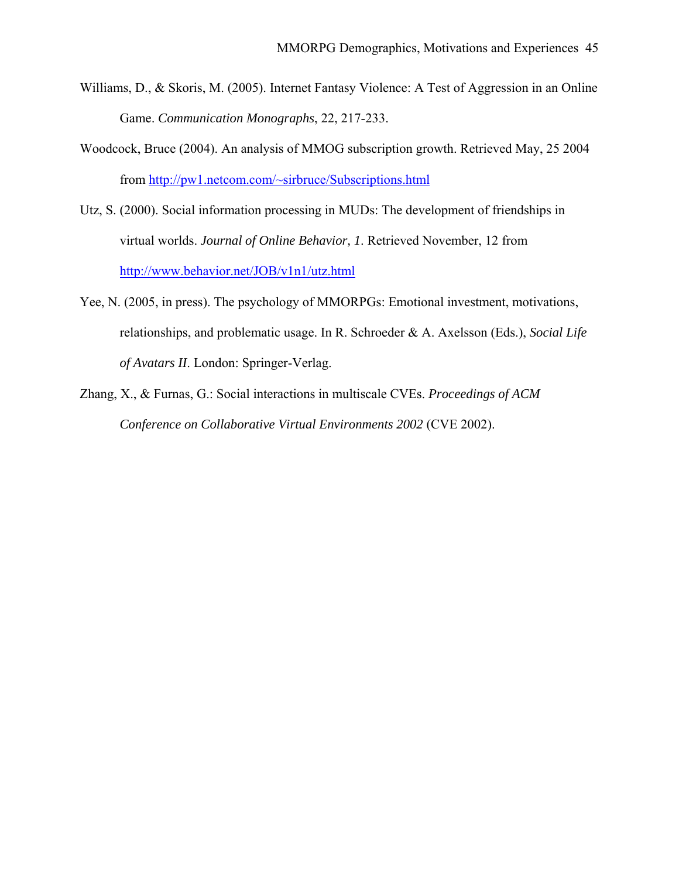- Williams, D., & Skoris, M. (2005). Internet Fantasy Violence: A Test of Aggression in an Online Game. *Communication Monographs*, 22, 217-233.
- Woodcock, Bruce (2004). An analysis of MMOG subscription growth. Retrieved May, 25 2004 from http://pw1.netcom.com/~sirbruce/Subscriptions.html
- Utz, S. (2000). Social information processing in MUDs: The development of friendships in virtual worlds. *Journal of Online Behavior, 1*. Retrieved November, 12 from http://www.behavior.net/JOB/v1n1/utz.html
- Yee, N. (2005, in press). The psychology of MMORPGs: Emotional investment, motivations, relationships, and problematic usage. In R. Schroeder & A. Axelsson (Eds.), *Social Life of Avatars II*. London: Springer-Verlag.
- Zhang, X., & Furnas, G.: Social interactions in multiscale CVEs. *Proceedings of ACM Conference on Collaborative Virtual Environments 2002* (CVE 2002).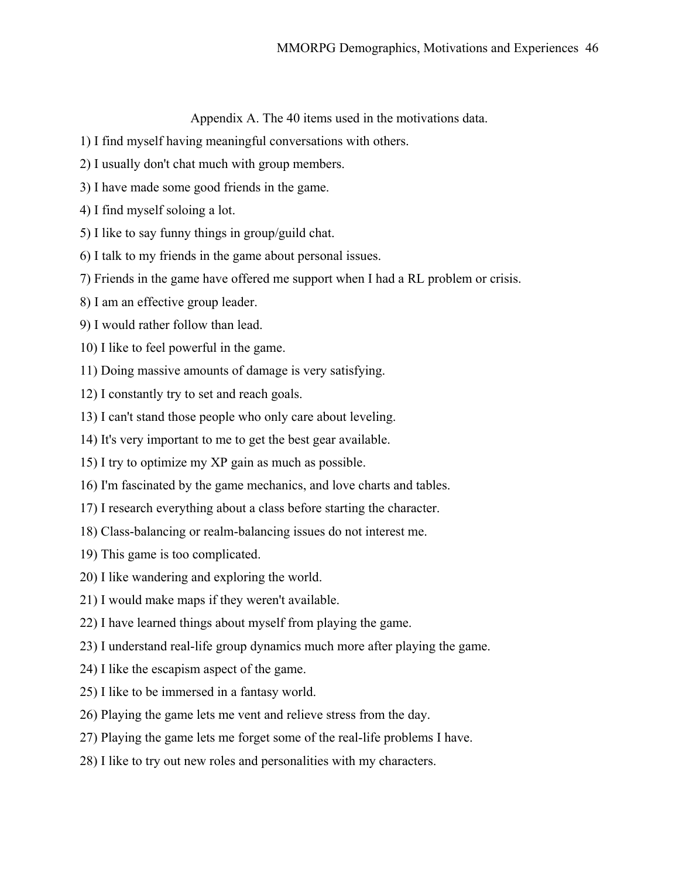Appendix A. The 40 items used in the motivations data.

- 1) I find myself having meaningful conversations with others.
- 2) I usually don't chat much with group members.
- 3) I have made some good friends in the game.
- 4) I find myself soloing a lot.
- 5) I like to say funny things in group/guild chat.
- 6) I talk to my friends in the game about personal issues.
- 7) Friends in the game have offered me support when I had a RL problem or crisis.
- 8) I am an effective group leader.
- 9) I would rather follow than lead.
- 10) I like to feel powerful in the game.
- 11) Doing massive amounts of damage is very satisfying.
- 12) I constantly try to set and reach goals.
- 13) I can't stand those people who only care about leveling.
- 14) It's very important to me to get the best gear available.
- 15) I try to optimize my XP gain as much as possible.
- 16) I'm fascinated by the game mechanics, and love charts and tables.
- 17) I research everything about a class before starting the character.
- 18) Class-balancing or realm-balancing issues do not interest me.
- 19) This game is too complicated.
- 20) I like wandering and exploring the world.
- 21) I would make maps if they weren't available.
- 22) I have learned things about myself from playing the game.
- 23) I understand real-life group dynamics much more after playing the game.
- 24) I like the escapism aspect of the game.
- 25) I like to be immersed in a fantasy world.
- 26) Playing the game lets me vent and relieve stress from the day.
- 27) Playing the game lets me forget some of the real-life problems I have.
- 28) I like to try out new roles and personalities with my characters.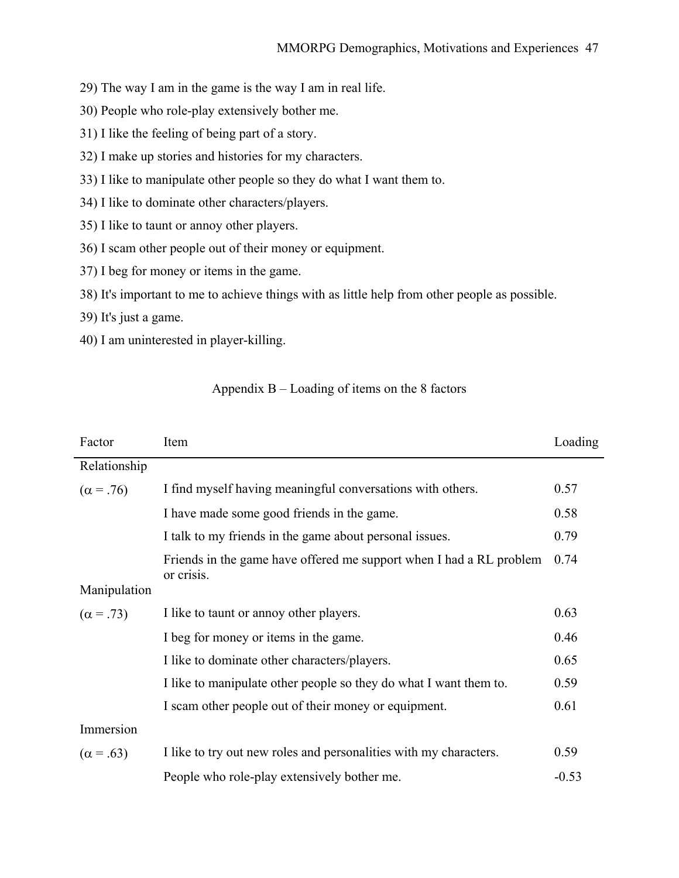29) The way I am in the game is the way I am in real life.

- 30) People who role-play extensively bother me.
- 31) I like the feeling of being part of a story.
- 32) I make up stories and histories for my characters.
- 33) I like to manipulate other people so they do what I want them to.
- 34) I like to dominate other characters/players.
- 35) I like to taunt or annoy other players.
- 36) I scam other people out of their money or equipment.
- 37) I beg for money or items in the game.
- 38) It's important to me to achieve things with as little help from other people as possible.
- 39) It's just a game.
- 40) I am uninterested in player-killing.

# Appendix B – Loading of items on the 8 factors

| Factor           | Item                                                                              | Loading |
|------------------|-----------------------------------------------------------------------------------|---------|
| Relationship     |                                                                                   |         |
| $(\alpha = .76)$ | I find myself having meaningful conversations with others.                        | 0.57    |
|                  | I have made some good friends in the game.                                        | 0.58    |
|                  | I talk to my friends in the game about personal issues.                           | 0.79    |
|                  | Friends in the game have offered me support when I had a RL problem<br>or crisis. | 0.74    |
| Manipulation     |                                                                                   |         |
| $(\alpha = .73)$ | I like to taunt or annoy other players.                                           | 0.63    |
|                  | I beg for money or items in the game.                                             | 0.46    |
|                  | I like to dominate other characters/players.                                      | 0.65    |
|                  | I like to manipulate other people so they do what I want them to.                 | 0.59    |
|                  | I scam other people out of their money or equipment.                              | 0.61    |
| Immersion        |                                                                                   |         |
| $(\alpha = .63)$ | I like to try out new roles and personalities with my characters.                 | 0.59    |
|                  | People who role-play extensively bother me.                                       | $-0.53$ |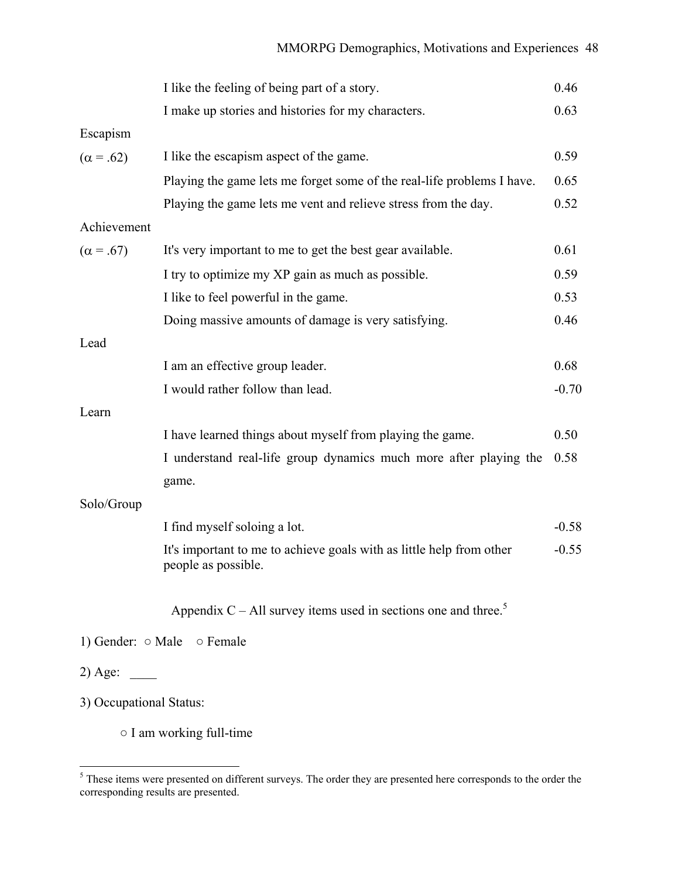|                         | I like the feeling of being part of a story.                                                | 0.46    |
|-------------------------|---------------------------------------------------------------------------------------------|---------|
|                         | I make up stories and histories for my characters.                                          | 0.63    |
| Escapism                |                                                                                             |         |
| $(\alpha = .62)$        | I like the escapism aspect of the game.                                                     | 0.59    |
|                         | Playing the game lets me forget some of the real-life problems I have.                      | 0.65    |
|                         | Playing the game lets me vent and relieve stress from the day.                              | 0.52    |
| Achievement             |                                                                                             |         |
| $(\alpha = .67)$        | It's very important to me to get the best gear available.                                   | 0.61    |
|                         | I try to optimize my XP gain as much as possible.                                           | 0.59    |
|                         | I like to feel powerful in the game.                                                        | 0.53    |
|                         | Doing massive amounts of damage is very satisfying.                                         | 0.46    |
| Lead                    |                                                                                             |         |
|                         | I am an effective group leader.                                                             | 0.68    |
|                         | I would rather follow than lead.                                                            | $-0.70$ |
| Learn                   |                                                                                             |         |
|                         | I have learned things about myself from playing the game.                                   | 0.50    |
|                         | I understand real-life group dynamics much more after playing the                           | 0.58    |
|                         | game.                                                                                       |         |
| Solo/Group              |                                                                                             |         |
|                         | I find myself soloing a lot.                                                                | $-0.58$ |
|                         | It's important to me to achieve goals with as little help from other<br>people as possible. | $-0.55$ |
|                         | Appendix $C - All$ survey items used in sections one and three. <sup>5</sup>                |         |
|                         | 1) Gender: $\circ$ Male $\circ$ Female                                                      |         |
| 2) Age: $\qquad \qquad$ |                                                                                             |         |
| 3) Occupational Status: |                                                                                             |         |

○ I am working full-time

<sup>&</sup>lt;sup>5</sup>These items were presented on different surveys. The order they are presented here corresponds to the order the corresponding results are presented.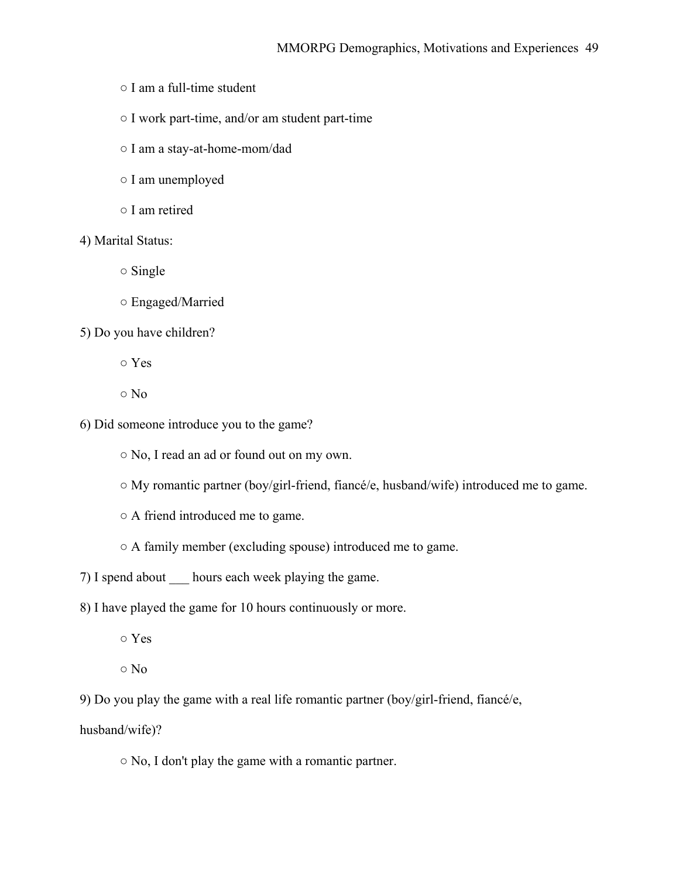- I am a full-time student
- I work part-time, and/or am student part-time
- I am a stay-at-home-mom/dad
- I am unemployed
- I am retired
- 4) Marital Status:
	- Single
	- Engaged/Married
- 5) Do you have children?
	- Yes
	- No

6) Did someone introduce you to the game?

- No, I read an ad or found out on my own.
- My romantic partner (boy/girl-friend, fiancé/e, husband/wife) introduced me to game.
- A friend introduced me to game.
- A family member (excluding spouse) introduced me to game.
- 7) I spend about hours each week playing the game.
- 8) I have played the game for 10 hours continuously or more.
	- Yes
	- No

9) Do you play the game with a real life romantic partner (boy/girl-friend, fiancé/e,

husband/wife)?

○ No, I don't play the game with a romantic partner.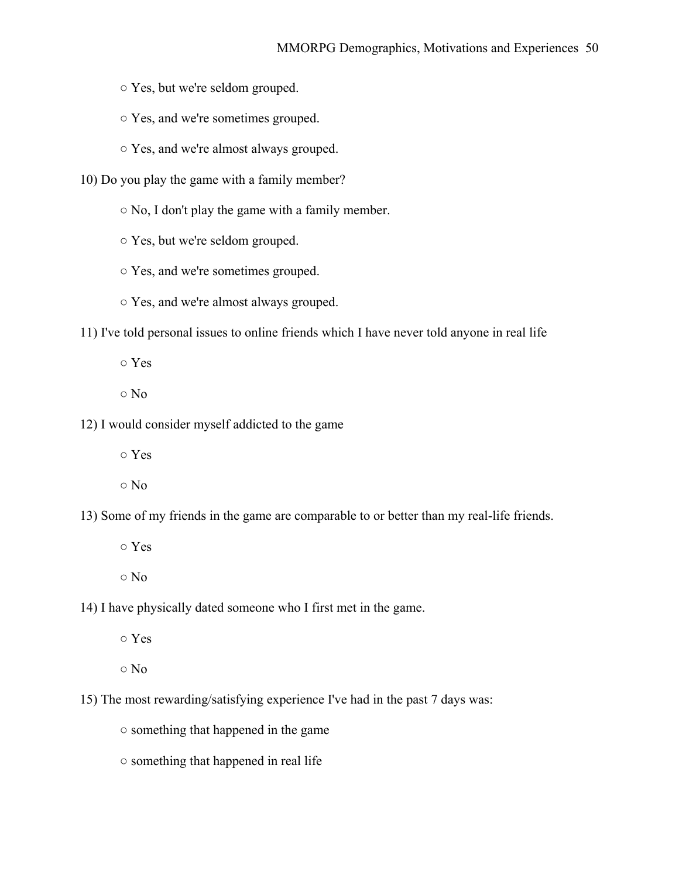○ Yes, but we're seldom grouped.

- Yes, and we're sometimes grouped.
- Yes, and we're almost always grouped.
- 10) Do you play the game with a family member?
	- No, I don't play the game with a family member.
	- Yes, but we're seldom grouped.
	- Yes, and we're sometimes grouped.
	- Yes, and we're almost always grouped.

11) I've told personal issues to online friends which I have never told anyone in real life

- Yes
- No
- 12) I would consider myself addicted to the game
	- Yes
	- No
- 13) Some of my friends in the game are comparable to or better than my real-life friends.
	- Yes
	- No
- 14) I have physically dated someone who I first met in the game.
	- $\circ$  Yes
	- No
- 15) The most rewarding/satisfying experience I've had in the past 7 days was:
	- something that happened in the game
	- something that happened in real life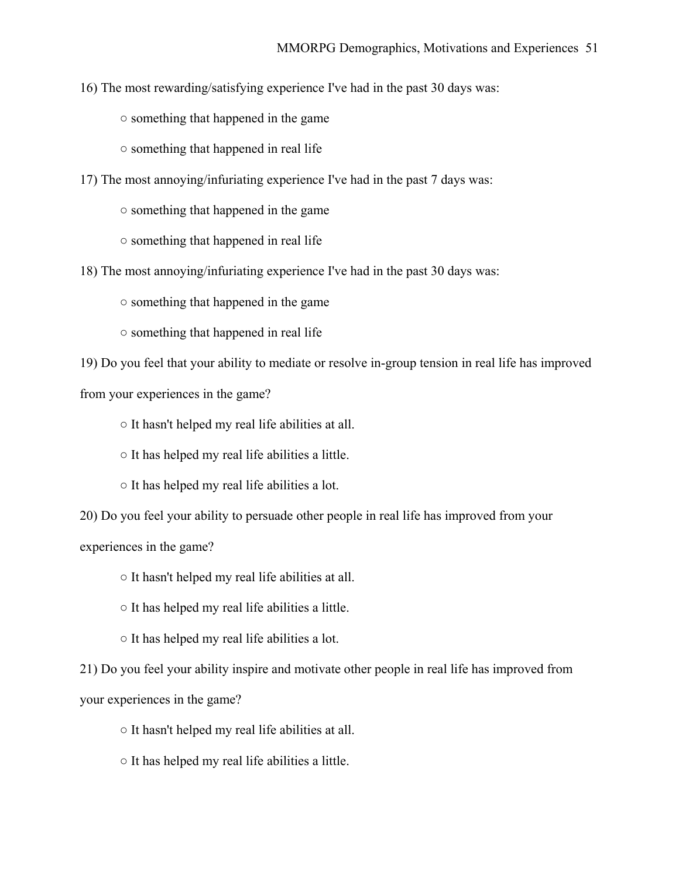16) The most rewarding/satisfying experience I've had in the past 30 days was:

○ something that happened in the game

○ something that happened in real life

17) The most annoying/infuriating experience I've had in the past 7 days was:

○ something that happened in the game

○ something that happened in real life

18) The most annoying/infuriating experience I've had in the past 30 days was:

○ something that happened in the game

○ something that happened in real life

19) Do you feel that your ability to mediate or resolve in-group tension in real life has improved

from your experiences in the game?

○ It hasn't helped my real life abilities at all.

○ It has helped my real life abilities a little.

○ It has helped my real life abilities a lot.

20) Do you feel your ability to persuade other people in real life has improved from your experiences in the game?

○ It hasn't helped my real life abilities at all.

○ It has helped my real life abilities a little.

○ It has helped my real life abilities a lot.

21) Do you feel your ability inspire and motivate other people in real life has improved from your experiences in the game?

○ It hasn't helped my real life abilities at all.

○ It has helped my real life abilities a little.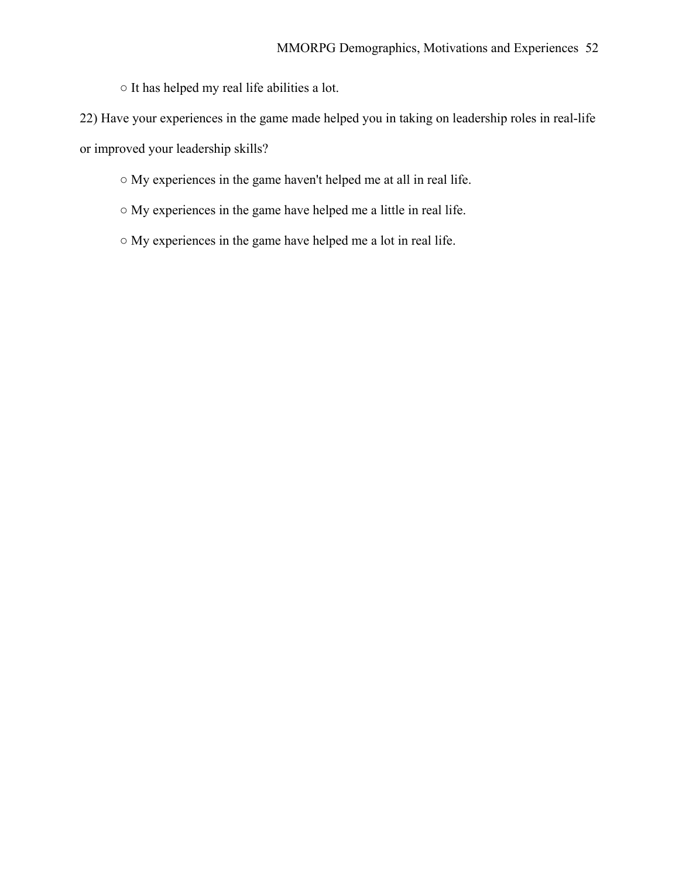○ It has helped my real life abilities a lot.

22) Have your experiences in the game made helped you in taking on leadership roles in real-life or improved your leadership skills?

○ My experiences in the game haven't helped me at all in real life.

○ My experiences in the game have helped me a little in real life.

○ My experiences in the game have helped me a lot in real life.